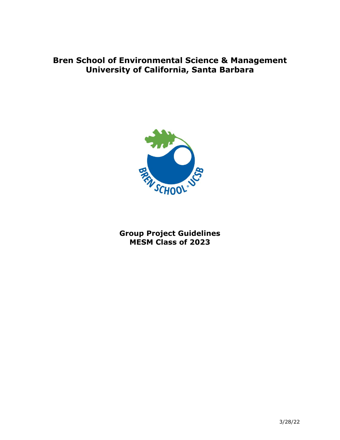**Bren School of Environmental Science & Management University of California, Santa Barbara**



**Group Project Guidelines MESM Class of 2023**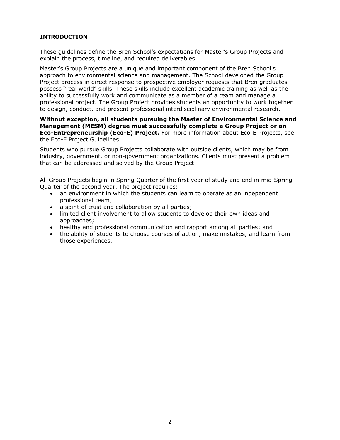#### **INTRODUCTION**

These guidelines define the Bren School's expectations for Master's Group Projects and explain the process, timeline, and required deliverables.

Master's Group Projects are a unique and important component of the Bren School's approach to environmental science and management. The School developed the Group Project process in direct response to prospective employer requests that Bren graduates possess "real world" skills. These skills include excellent academic training as well as the ability to successfully work and communicate as a member of a team and manage a professional project. The Group Project provides students an opportunity to work together to design, conduct, and present professional interdisciplinary environmental research.

**Without exception, all students pursuing the Master of Environmental Science and Management (MESM) degree must successfully complete a Group Project or an Eco-Entrepreneurship (Eco-E) Project.** For more information about Eco-E Projects, see the Eco-E Project Guidelines.

Students who pursue Group Projects collaborate with outside clients, which may be from industry, government, or non-government organizations. Clients must present a problem that can be addressed and solved by the Group Project.

All Group Projects begin in Spring Quarter of the first year of study and end in mid-Spring Quarter of the second year. The project requires:

- an environment in which the students can learn to operate as an independent professional team;
- a spirit of trust and collaboration by all parties;
- limited client involvement to allow students to develop their own ideas and approaches;
- healthy and professional communication and rapport among all parties; and
- the ability of students to choose courses of action, make mistakes, and learn from those experiences.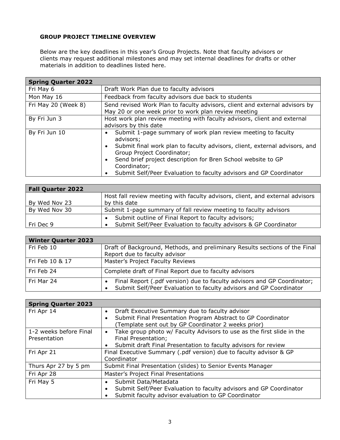# **GROUP PROJECT TIMELINE OVERVIEW**

Below are the key deadlines in this year's Group Projects. Note that faculty advisors or clients may request additional milestones and may set internal deadlines for drafts or other materials in addition to deadlines listed here.

| <b>Spring Quarter 2022</b> |                                                                                                                                                                                                                                                                                                                                                          |  |
|----------------------------|----------------------------------------------------------------------------------------------------------------------------------------------------------------------------------------------------------------------------------------------------------------------------------------------------------------------------------------------------------|--|
| Fri May 6                  | Draft Work Plan due to faculty advisors                                                                                                                                                                                                                                                                                                                  |  |
| Mon May 16                 | Feedback from faculty advisors due back to students                                                                                                                                                                                                                                                                                                      |  |
| Fri May 20 (Week 8)        | Send revised Work Plan to faculty advisors, client and external advisors by<br>May 20 or one week prior to work plan review meeting                                                                                                                                                                                                                      |  |
| By Fri Jun 3               | Host work plan review meeting with faculty advisors, client and external<br>advisors by this date                                                                                                                                                                                                                                                        |  |
| By Fri Jun 10              | Submit 1-page summary of work plan review meeting to faculty<br>advisors;<br>Submit final work plan to faculty advisors, client, external advisors, and<br>$\bullet$<br>Group Project Coordinator;<br>Send brief project description for Bren School website to GP<br>Coordinator;<br>Submit Self/Peer Evaluation to faculty advisors and GP Coordinator |  |

| <b>Fall Quarter 2022</b> |                                                                               |  |
|--------------------------|-------------------------------------------------------------------------------|--|
|                          | Host fall review meeting with faculty advisors, client, and external advisors |  |
| By Wed Nov 23            | by this date                                                                  |  |
| By Wed Nov 30            | Submit 1-page summary of fall review meeting to faculty advisors              |  |
|                          | Submit outline of Final Report to faculty advisors;                           |  |
| Fri Dec 9                | Submit Self/Peer Evaluation to faculty advisors & GP Coordinator              |  |

| <b>Winter Quarter 2023</b> |                                                                             |  |
|----------------------------|-----------------------------------------------------------------------------|--|
| Fri Feb 10                 | Draft of Background, Methods, and preliminary Results sections of the Final |  |
|                            | Report due to faculty advisor                                               |  |
| Fri Feb 10 & 17            | Master's Project Faculty Reviews                                            |  |
| Fri Feb 24                 | Complete draft of Final Report due to faculty advisors                      |  |
| Fri Mar 24                 | Final Report (.pdf version) due to faculty advisors and GP Coordinator;     |  |
|                            | Submit Self/Peer Evaluation to faculty advisors and GP Coordinator          |  |

| <b>Spring Quarter 2023</b> |                                                                                                                                  |  |
|----------------------------|----------------------------------------------------------------------------------------------------------------------------------|--|
| Fri Apr 14                 | Draft Executive Summary due to faculty advisor<br>$\bullet$                                                                      |  |
|                            | Submit Final Presentation Program Abstract to GP Coordinator<br>$\bullet$<br>(Template sent out by GP Coordinator 2 weeks prior) |  |
| 1-2 weeks before Final     | Take group photo w/ Faculty Advisors to use as the first slide in the<br>$\bullet$                                               |  |
| Presentation               | Final Presentation;                                                                                                              |  |
|                            | Submit draft Final Presentation to faculty advisors for review<br>$\bullet$                                                      |  |
| Fri Apr 21                 | Final Executive Summary (.pdf version) due to faculty advisor & GP                                                               |  |
|                            | Coordinator                                                                                                                      |  |
| Thurs Apr 27 by 5 pm       | Submit Final Presentation (slides) to Senior Events Manager                                                                      |  |
| Fri Apr 28                 | Master's Project Final Presentations                                                                                             |  |
| Fri May 5                  | Submit Data/Metadata<br>$\bullet$                                                                                                |  |
|                            | Submit Self/Peer Evaluation to faculty advisors and GP Coordinator<br>$\bullet$                                                  |  |
|                            | Submit faculty advisor evaluation to GP Coordinator                                                                              |  |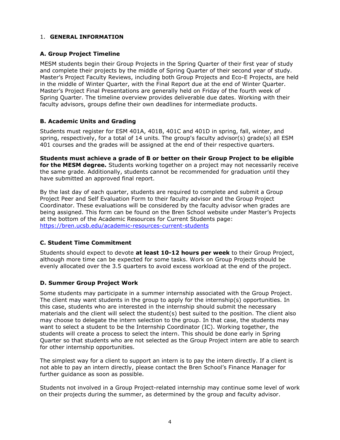### 1. **GENERAL INFORMATION**

### **A. Group Project Timeline**

MESM students begin their Group Projects in the Spring Quarter of their first year of study and complete their projects by the middle of Spring Quarter of their second year of study. Master's Project Faculty Reviews, including both Group Projects and Eco-E Projects, are held in the middle of Winter Quarter, with the Final Report due at the end of Winter Quarter. Master's Project Final Presentations are generally held on Friday of the fourth week of Spring Quarter. The timeline overview provides deliverable due dates. Working with their faculty advisors, groups define their own deadlines for intermediate products.

#### **B. Academic Units and Grading**

Students must register for ESM 401A, 401B, 401C and 401D in spring, fall, winter, and spring, respectively, for a total of 14 units. The group's faculty advisor(s) grade(s) all ESM 401 courses and the grades will be assigned at the end of their respective quarters.

**Students must achieve a grade of B or better on their Group Project to be eligible for the MESM degree.** Students working together on a project may not necessarily receive the same grade. Additionally, students cannot be recommended for graduation until they have submitted an approved final report.

By the last day of each quarter, students are required to complete and submit a Group Project Peer and Self Evaluation Form to their faculty advisor and the Group Project Coordinator. These evaluations will be considered by the faculty advisor when grades are being assigned. This form can be found on the Bren School website under Master's Projects at the bottom of the Academic Resources for Current Students page: <https://bren.ucsb.edu/academic-resources-current-students>

# **C. Student Time Commitment**

Students should expect to devote **at least 10-12 hours per week** to their Group Project, although more time can be expected for some tasks. Work on Group Projects should be evenly allocated over the 3.5 quarters to avoid excess workload at the end of the project.

# **D. Summer Group Project Work**

Some students may participate in a summer internship associated with the Group Project. The client may want students in the group to apply for the internship(s) opportunities. In this case, students who are interested in the internship should submit the necessary materials and the client will select the student(s) best suited to the position. The client also may choose to delegate the intern selection to the group. In that case, the students may want to select a student to be the Internship Coordinator (IC). Working together, the students will create a process to select the intern. This should be done early in Spring Quarter so that students who are not selected as the Group Project intern are able to search for other internship opportunities.

The simplest way for a client to support an intern is to pay the intern directly. If a client is not able to pay an intern directly, please contact the Bren School's Finance Manager for further guidance as soon as possible.

Students not involved in a Group Project-related internship may continue some level of work on their projects during the summer, as determined by the group and faculty advisor.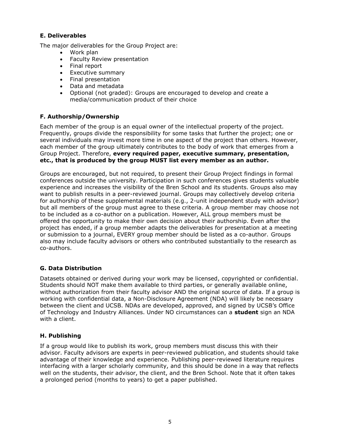# **E. Deliverables**

The major deliverables for the Group Project are:

- Work plan
- Faculty Review presentation
- Final report
- Executive summary
- Final presentation
- Data and metadata
- Optional (not graded): Groups are encouraged to develop and create a media/communication product of their choice

# **F. Authorship/Ownership**

Each member of the group is an equal owner of the intellectual property of the project. Frequently, groups divide the responsibility for some tasks that further the project; one or several individuals may invest more time in one aspect of the project than others. However, each member of the group ultimately contributes to the body of work that emerges from a Group Project. Therefore, **every required paper, executive summary, presentation, etc., that is produced by the group MUST list every member as an author.**

Groups are encouraged, but not required, to present their Group Project findings in formal conferences outside the university. Participation in such conferences gives students valuable experience and increases the visibility of the Bren School and its students. Groups also may want to publish results in a peer-reviewed journal. Groups may collectively develop criteria for authorship of these supplemental materials (e.g., 2-unit independent study with advisor) but all members of the group must agree to these criteria. A group member may choose not to be included as a co-author on a publication. However, ALL group members must be offered the opportunity to make their own decision about their authorship. Even after the project has ended, if a group member adapts the deliverables for presentation at a meeting or submission to a journal, EVERY group member should be listed as a co-author. Groups also may include faculty advisors or others who contributed substantially to the research as co-authors.

# **G. Data Distribution**

Datasets obtained or derived during your work may be licensed, copyrighted or confidential. Students should NOT make them available to third parties, or generally available online, without authorization from their faculty advisor AND the original source of data. If a group is working with confidential data, a Non-Disclosure Agreement (NDA) will likely be necessary between the client and UCSB. NDAs are developed, approved, and signed by UCSB's Office of Technology and Industry Alliances. Under NO circumstances can a **student** sign an NDA with a client.

# **H. Publishing**

If a group would like to publish its work, group members must discuss this with their advisor. Faculty advisors are experts in peer-reviewed publication, and students should take advantage of their knowledge and experience. Publishing peer-reviewed literature requires interfacing with a larger scholarly community, and this should be done in a way that reflects well on the students, their advisor, the client, and the Bren School. Note that it often takes a prolonged period (months to years) to get a paper published.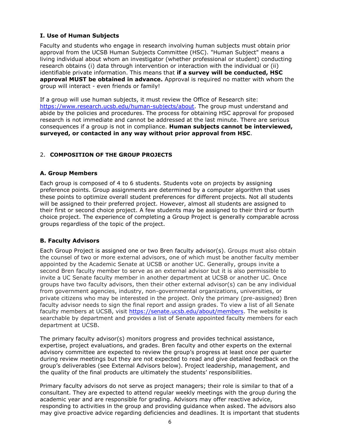# **I. Use of Human Subjects**

Faculty and students who engage in research involving human subjects must obtain prior approval from the UCSB Human Subjects Committee (HSC). "Human Subject" means a living individual about whom an investigator (whether professional or student) conducting research obtains (i) data through intervention or interaction with the individual or (ii) identifiable private information. This means that **if a survey will be conducted, HSC approval MUST be obtained in advance.** Approval is required no matter with whom the group will interact - even friends or family!

If a group will use human subjects, it must review the Office of Research site: [https://www.research.ucsb.edu/human-subjects/about.](https://www.research.ucsb.edu/human-subjects/about) The group must understand and abide by the policies and procedures. The process for obtaining HSC approval for proposed research is not immediate and cannot be addressed at the last minute. There are serious consequences if a group is not in compliance. **Human subjects cannot be interviewed, surveyed, or contacted in any way without prior approval from HSC**.

# 2. **COMPOSITION OF THE GROUP PROJECTS**

# **A. Group Members**

Each group is composed of 4 to 6 students. Students vote on projects by assigning preference points. Group assignments are determined by a computer algorithm that uses these points to optimize overall student preferences for different projects. Not all students will be assigned to their preferred project. However, almost all students are assigned to their first or second choice project. A few students may be assigned to their third or fourth choice project. The experience of completing a Group Project is generally comparable across groups regardless of the topic of the project.

# **B. Faculty Advisors**

Each Group Project is assigned one or two Bren faculty advisor(s). Groups must also obtain the counsel of two or more external advisors, one of which must be another faculty member appointed by the Academic Senate at UCSB or another UC. Generally, groups invite a second Bren faculty member to serve as an external advisor but it is also permissible to invite a UC Senate faculty member in another department at UCSB or another UC. Once groups have two faculty advisors, then their other external advisor(s) can be any individual from government agencies, industry, non-governmental organizations, universities, or private citizens who may be interested in the project. Only the primary (pre-assigned) Bren faculty advisor needs to sign the final report and assign grades. To view a list of all Senate faculty members at UCSB, visit [https://senate.ucsb.edu/about/members.](https://senate.ucsb.edu/about/members) The website is searchable by department and provides a list of Senate appointed faculty members for each department at UCSB.

The primary faculty advisor(s) monitors progress and provides technical assistance, expertise, project evaluations, and grades. Bren faculty and other experts on the external advisory committee are expected to review the group's progress at least once per quarter during review meetings but they are not expected to read and give detailed feedback on the group's deliverables (see External Advisors below). Project leadership, management, and the quality of the final products are ultimately the students' responsibilities.

Primary faculty advisors do not serve as project managers; their role is similar to that of a consultant. They are expected to attend regular weekly meetings with the group during the academic year and are responsible for grading. Advisors may offer reactive advice, responding to activities in the group and providing guidance when asked. The advisors also may give proactive advice regarding deficiencies and deadlines. It is important that students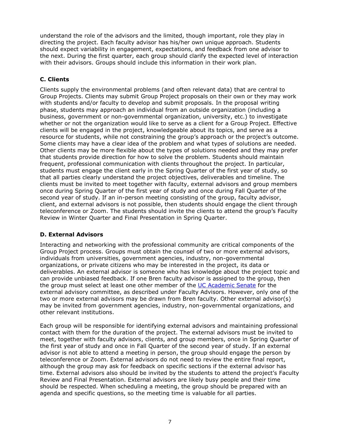understand the role of the advisors and the limited, though important, role they play in directing the project. Each faculty advisor has his/her own unique approach. Students should expect variability in engagement, expectations, and feedback from one advisor to the next. During the first quarter, each group should clarify the expected level of interaction with their advisors. Groups should include this information in their work plan.

# **C. Clients**

Clients supply the environmental problems (and often relevant data) that are central to Group Projects. Clients may submit Group Project proposals on their own or they may work with students and/or faculty to develop and submit proposals. In the proposal writing phase, students may approach an individual from an outside organization (including a business, government or non-governmental organization, university, etc.) to investigate whether or not the organization would like to serve as a client for a Group Project. Effective clients will be engaged in the project, knowledgeable about its topics, and serve as a resource for students, while not constraining the group's approach or the project's outcome. Some clients may have a clear idea of the problem and what types of solutions are needed. Other clients may be more flexible about the types of solutions needed and they may prefer that students provide direction for how to solve the problem. Students should maintain frequent, professional communication with clients throughout the project. In particular, students must engage the client early in the Spring Quarter of the first year of study, so that all parties clearly understand the project objectives, deliverables and timeline. The clients must be invited to meet together with faculty, external advisors and group members once during Spring Quarter of the first year of study and once during Fall Quarter of the second year of study. If an in-person meeting consisting of the group, faculty advisor, client, and external advisors is not possible, then students should engage the client through teleconference or Zoom. The students should invite the clients to attend the group's Faculty Review in Winter Quarter and Final Presentation in Spring Quarter.

# **D. External Advisors**

Interacting and networking with the professional community are critical components of the Group Project process. Groups must obtain the counsel of two or more external advisors, individuals from universities, government agencies, industry, non-governmental organizations, or private citizens who may be interested in the project, its data or deliverables. An external advisor is someone who has knowledge about the project topic and can provide unbiased feedback. If one Bren faculty advisor is assigned to the group, then the group must select at least one other member of the [UC Academic Senate](https://senate.ucsb.edu/about/members) for the external advisory committee, as described under Faculty Advisors. However, only one of the two or more external advisors may be drawn from Bren faculty. Other external advisor(s) may be invited from government agencies, industry, non-governmental organizations, and other relevant institutions.

Each group will be responsible for identifying external advisors and maintaining professional contact with them for the duration of the project. The external advisors must be invited to meet, together with faculty advisors, clients, and group members, once in Spring Quarter of the first year of study and once in Fall Quarter of the second year of study. If an external advisor is not able to attend a meeting in person, the group should engage the person by teleconference or Zoom. External advisors do not need to review the entire final report, although the group may ask for feedback on specific sections if the external advisor has time. External advisors also should be invited by the students to attend the project's Faculty Review and Final Presentation. External advisors are likely busy people and their time should be respected. When scheduling a meeting, the group should be prepared with an agenda and specific questions, so the meeting time is valuable for all parties.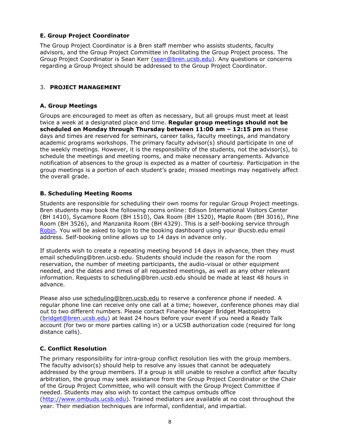# **E. Group Project Coordinator**

The Group Project Coordinator is a Bren staff member who assists students, faculty advisors, and the Group Project Committee in facilitating the Group Project process. The Group Project Coordinator is Sean Kerr [\(sean@bren.ucsb.edu\)](mailto:sean@bren.ucsb.edu). Any questions or concerns regarding a Group Project should be addressed to the Group Project Coordinator.

# 3. **PROJECT MANAGEMENT**

### **A. Group Meetings**

Groups are encouraged to meet as often as necessary, but all groups must meet at least twice a week at a designated place and time. **Regular group meetings should not be scheduled on Monday through Thursday between 11:00 am – 12:15 pm** as these days and times are reserved for seminars, career talks, faculty meetings, and mandatory academic programs workshops. The primary faculty advisor(s) should participate in one of the weekly meetings. However, it is the responsibility of the students, not the advisor(s), to schedule the meetings and meeting rooms, and make necessary arrangements. Advance notification of absences to the group is expected as a matter of courtesy. Participation in the group meetings is a portion of each student's grade; missed meetings may negatively affect the overall grade.

### **B. Scheduling Meeting Rooms**

Students are responsible for scheduling their own rooms for regular Group Project meetings. Bren students may book the following rooms online: Edison International Visitors Center (BH 1410), Sycamore Room (BH 1510), Oak Room (BH 1520), Maple Room (BH 3016), Pine Room (BH 3526), and Manzanita Room (BH 4329). This is a self-booking service through [Robin.](https://dashboard.robinpowered.com/ucsb-bren-school/login) You will be asked to login to the booking dashboard using your @ucsb.edu email address. Self-booking online allows up to 14 days in advance only.

If students wish to create a repeating meeting beyond 14 days in advance, then they must email scheduling@bren.ucsb.edu. Students should include the reason for the room reservation, the number of meeting participants, the audio-visual or other equipment needed, and the dates and times of all requested meetings, as well as any other relevant information. Requests to scheduling@bren.ucsb.edu should be made at least 48 hours in advance.

Please also use [scheduling@bren.ucsb.edu](mailto:scheduling@bren.ucsb.edu) to reserve a conference phone if needed. A regular phone line can receive only one call at a time; however, conference phones may dial out to two different numbers. Please contact Finance Manager Bridget Mastopietro [\(bridget@bren.ucsb.edu\)](mailto:bridget@bren.ucsb.edu) at least 24 hours before your event if you need a Ready Talk account (for two or more parties calling in) or a UCSB authorization code (required for long distance calls).

# **C. Conflict Resolution**

The primary responsibility for intra-group conflict resolution lies with the group members. The faculty advisor(s) should help to resolve any issues that cannot be adequately addressed by the group members. If a group is still unable to resolve a conflict after faculty arbitration, the group may seek assistance from the Group Project Coordinator or the Chair of the Group Project Committee, who will consult with the Group Project Committee if needed. Students may also wish to contact the campus ombuds office [\(http://www.ombuds.ucsb.edu\)](http://www.ombuds.ucsb.edu/). Trained mediators are available at no cost throughout the year. Their mediation techniques are informal, confidential, and impartial.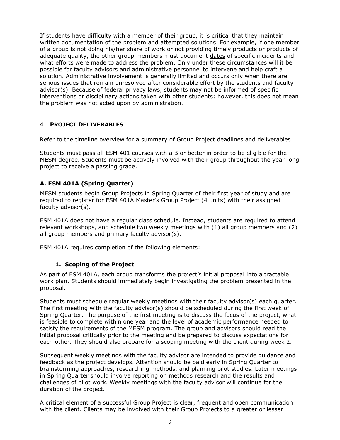If students have difficulty with a member of their group, it is critical that they maintain written documentation of the problem and attempted solutions. For example, if one member of a group is not doing his/her share of work or not providing timely products or products of adequate quality, the other group members must document dates of specific incidents and what efforts were made to address the problem. Only under these circumstances will it be possible for faculty advisors and administrative personnel to intervene and help craft a solution. Administrative involvement is generally limited and occurs only when there are serious issues that remain unresolved after considerable effort by the students and faculty advisor(s). Because of federal privacy laws, students may not be informed of specific interventions or disciplinary actions taken with other students; however, this does not mean the problem was not acted upon by administration.

# 4. **PROJECT DELIVERABLES**

Refer to the timeline overview for a summary of Group Project deadlines and deliverables.

Students must pass all ESM 401 courses with a B or better in order to be eligible for the MESM degree. Students must be actively involved with their group throughout the year-long project to receive a passing grade.

# **A. ESM 401A (Spring Quarter)**

MESM students begin Group Projects in Spring Quarter of their first year of study and are required to register for ESM 401A Master's Group Project (4 units) with their assigned faculty advisor(s).

ESM 401A does not have a regular class schedule. Instead, students are required to attend relevant workshops, and schedule two weekly meetings with (1) all group members and (2) all group members and primary faculty advisor(s).

ESM 401A requires completion of the following elements:

# **1. Scoping of the Project**

As part of ESM 401A, each group transforms the project's initial proposal into a tractable work plan. Students should immediately begin investigating the problem presented in the proposal.

Students must schedule regular weekly meetings with their faculty advisor(s) each quarter. The first meeting with the faculty advisor(s) should be scheduled during the first week of Spring Quarter. The purpose of the first meeting is to discuss the focus of the project, what is feasible to complete within one year and the level of academic performance needed to satisfy the requirements of the MESM program. The group and advisors should read the initial proposal critically prior to the meeting and be prepared to discuss expectations for each other. They should also prepare for a scoping meeting with the client during week 2.

Subsequent weekly meetings with the faculty advisor are intended to provide guidance and feedback as the project develops. Attention should be paid early in Spring Quarter to brainstorming approaches, researching methods, and planning pilot studies. Later meetings in Spring Quarter should involve reporting on methods research and the results and challenges of pilot work. Weekly meetings with the faculty advisor will continue for the duration of the project.

A critical element of a successful Group Project is clear, frequent and open communication with the client. Clients may be involved with their Group Projects to a greater or lesser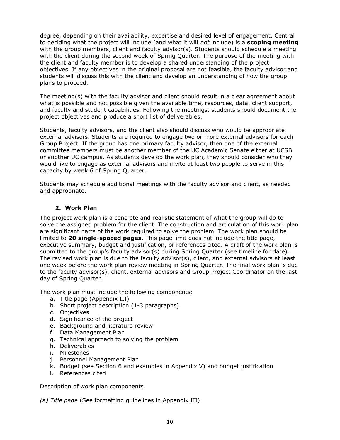degree, depending on their availability, expertise and desired level of engagement. Central to deciding what the project will include (and what it will *not* include) is a **scoping meeting** with the group members, client and faculty advisor(s). Students should schedule a meeting with the client during the second week of Spring Quarter. The purpose of the meeting with the client and faculty member is to develop a shared understanding of the project objectives. If any objectives in the original proposal are not feasible, the faculty advisor and students will discuss this with the client and develop an understanding of how the group plans to proceed.

The meeting(s) with the faculty advisor and client should result in a clear agreement about what is possible and not possible given the available time, resources, data, client support, and faculty and student capabilities. Following the meetings, students should document the project objectives and produce a short list of deliverables.

Students, faculty advisors, and the client also should discuss who would be appropriate external advisors. Students are required to engage two or more external advisors for each Group Project. If the group has one primary faculty advisor, then one of the external committee members must be another member of the UC Academic Senate either at UCSB or another UC campus. As students develop the work plan, they should consider who they would like to engage as external advisors and invite at least two people to serve in this capacity by week 6 of Spring Quarter.

Students may schedule additional meetings with the faculty advisor and client, as needed and appropriate.

# **2. Work Plan**

The project work plan is a concrete and realistic statement of what the group will do to solve the assigned problem for the client. The construction and articulation of this work plan are significant parts of the work required to solve the problem. The work plan should be limited to **20 single-spaced pages**. This page limit does not include the title page, executive summary, budget and justification, or references cited. A draft of the work plan is submitted to the group's faculty advisor(s) during Spring Quarter (see timeline for date). The revised work plan is due to the faculty advisor(s), client, and external advisors at least one week before the work plan review meeting in Spring Quarter. The final work plan is due to the faculty advisor(s), client, external advisors and Group Project Coordinator on the last day of Spring Quarter.

The work plan must include the following components:

- a. Title page (Appendix III)
- b. Short project description (1-3 paragraphs)
- c. Objectives
- d. Significance of the project
- e. Background and literature review
- f. Data Management Plan
- g. Technical approach to solving the problem
- h. Deliverables
- i. Milestones
- j. Personnel Management Plan
- k. Budget (see Section 6 and examples in Appendix V) and budget justification
- l. References cited

Description of work plan components:

*(a) Title page* (See formatting guidelines in Appendix III)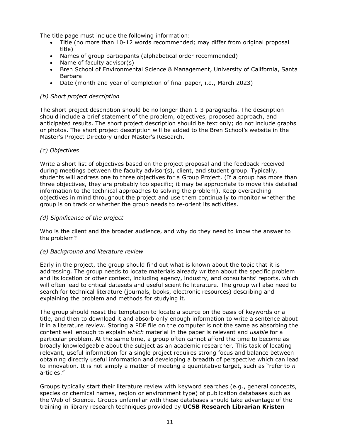The title page must include the following information:

- Title (no more than 10-12 words recommended; may differ from original proposal title)
- Names of group participants (alphabetical order recommended)
- Name of faculty advisor(s)
- Bren School of Environmental Science & Management, University of California, Santa Barbara
- Date (month and year of completion of final paper, i.e., March 2023)

#### *(b) Short project description*

The short project description should be no longer than 1-3 paragraphs. The description should include a brief statement of the problem, objectives, proposed approach, and anticipated results. The short project description should be text only; do not include graphs or photos. The short project description will be added to the Bren School's website in the Master's Project Directory under Master's Research.

#### *(c) Objectives*

Write a short list of objectives based on the project proposal and the feedback received during meetings between the faculty advisor(s), client, and student group. Typically, students will address one to three objectives for a Group Project. (If a group has more than three objectives, they are probably too specific; it may be appropriate to move this detailed information to the technical approaches to solving the problem). Keep overarching objectives in mind throughout the project and use them continually to monitor whether the group is on track or whether the group needs to re-orient its activities.

#### *(d) Significance of the project*

Who is the client and the broader audience, and why do they need to know the answer to the problem?

#### *(e) Background and literature review*

Early in the project, the group should find out what is known about the topic that it is addressing. The group needs to locate materials already written about the specific problem and its location or other context, including agency, industry, and consultants' reports, which will often lead to critical datasets and useful scientific literature. The group will also need to search for technical literature (journals, books, electronic resources) describing and explaining the problem and methods for studying it.

The group should resist the temptation to locate a source on the basis of keywords or a title, and then to download it and absorb only enough information to write a sentence about it in a literature review. Storing a PDF file on the computer is not the same as absorbing the content well enough to explain *which* material in the paper is relevant and *usable* for a particular problem. At the same time, a group often cannot afford the time to become as broadly knowledgeable about the subject as an academic researcher. This task of locating relevant, useful information for a single project requires strong focus and balance between obtaining directly useful information and developing a breadth of perspective which can lead to innovation. It is not simply a matter of meeting a quantitative target, such as "refer to *n* articles."

Groups typically start their literature review with keyword searches (e.g., general concepts, species or chemical names, region or environment type) of publication databases such as the Web of Science. Groups unfamiliar with these databases should take advantage of the training in library research techniques provided by **UCSB Research Librarian Kristen**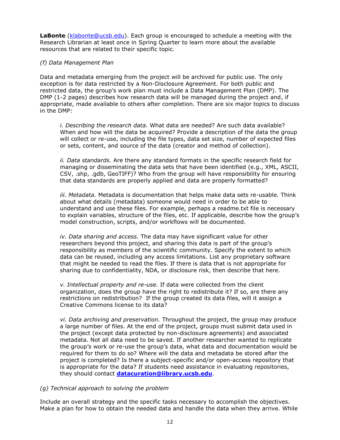**LaBonte** [\(klabonte@ucsb.edu\)](mailto:klabonte@ucsb.edu). Each group is encouraged to schedule a meeting with the Research Librarian at least once in Spring Quarter to learn more about the available resources that are related to their specific topic.

# *(f) Data Management Plan*

Data and metadata emerging from the project will be archived for public use. The only exception is for data restricted by a Non-Disclosure Agreement. For both public and restricted data, the group's work plan must include a Data Management Plan (DMP). The DMP (1-2 pages) describes how research data will be managed during the project and, if appropriate, made available to others after completion. There are six major topics to discuss in the DMP:

*i. Describing the research data.* What data are needed? Are such data available? When and how will the data be acquired? Provide a description of the data the group will collect or re-use, including the file types, data set size, number of expected files or sets, content, and source of the data (creator and method of collection).

*ii. Data standards.* Are there any standard formats in the specific research field for managing or disseminating the data sets that have been identified (e.g., XML, ASCII, CSV, .shp, .gdb, GeoTIFF)? Who from the group will have responsibility for ensuring that data standards are properly applied and data are properly formatted?

*iii. Metadata.* Metadata is documentation that helps make data sets re-usable. Think about what details (metadata) someone would need in order to be able to understand and use these files. For example, perhaps a readme.txt file is necessary to explain variables, structure of the files, etc. If applicable, describe how the group's model construction, scripts, and/or workflows will be documented.

*iv. Data sharing and access.* The data may have significant value for other researchers beyond this project, and sharing this data is part of the group's responsibility as members of the scientific community. Specify the extent to which data can be reused, including any access limitations. List any proprietary software that might be needed to read the files. If there is data that is not appropriate for sharing due to confidentiality, NDA, or disclosure risk, then describe that here.

*v. Intellectual property and re-use.* If data were collected from the client organization, does the group have the right to redistribute it? If so, are there any restrictions on redistribution? If the group created its data files, will it assign a Creative Commons license to its data?

*vi. Data archiving and preservation.* Throughout the project, the group may produce a large number of files. At the end of the project, groups must submit data used in the project (except data protected by non-disclosure agreements) and associated metadata. Not all data need to be saved. If another researcher wanted to replicate the group's work or re-use the group's data, what data and documentation would be required for them to do so? Where will the data and metadata be stored after the project is completed? Is there a subject-specific and/or open-access repository that is appropriate for the data? If students need assistance in evaluating repositories, they should contact **[datacuration@library.ucsb.edu](mailto:datacuration@library.ucsb.edu)**.

# *(g) Technical approach to solving the problem*

Include an overall strategy and the specific tasks necessary to accomplish the objectives. Make a plan for how to obtain the needed data and handle the data when they arrive. While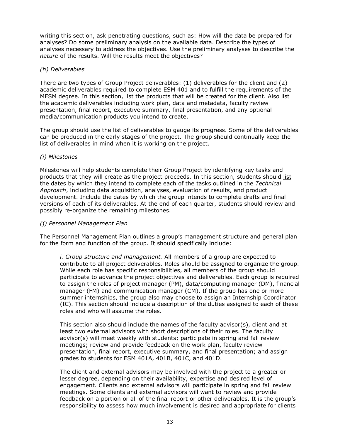writing this section, ask penetrating questions, such as: How will the data be prepared for analyses? Do some preliminary analysis on the available data. Describe the types of analyses necessary to address the objectives. Use the preliminary analyses to describe the *nature* of the results. Will the results meet the objectives?

#### *(h) Deliverables*

There are two types of Group Project deliverables: (1) deliverables for the client and (2) academic deliverables required to complete ESM 401 and to fulfill the requirements of the MESM degree. In this section, list the products that will be created for the client. Also list the academic deliverables including work plan, data and metadata, faculty review presentation, final report, executive summary, final presentation, and any optional media/communication products you intend to create.

The group should use the list of deliverables to gauge its progress. Some of the deliverables can be produced in the early stages of the project. The group should continually keep the list of deliverables in mind when it is working on the project.

### *(i) Milestones*

Milestones will help students complete their Group Project by identifying key tasks and products that they will create as the project proceeds. In this section, students should list the dates by which they intend to complete each of the tasks outlined in the *Technical Approach*, including data acquisition, analyses, evaluation of results, and product development. Include the dates by which the group intends to complete drafts and final versions of each of its deliverables. At the end of each quarter, students should review and possibly re-organize the remaining milestones.

#### *(j) Personnel Management Plan*

The Personnel Management Plan outlines a group's management structure and general plan for the form and function of the group. It should specifically include:

*i. Group structure and management.* All members of a group are expected to contribute to all project deliverables. Roles should be assigned to organize the group. While each role has specific responsibilities, all members of the group should participate to advance the project objectives and deliverables. Each group is required to assign the roles of project manager (PM), data/computing manager (DM), financial manager (FM) and communication manager (CM). If the group has one or more summer internships, the group also may choose to assign an Internship Coordinator (IC). This section should include a description of the duties assigned to each of these roles and who will assume the roles.

This section also should include the names of the faculty advisor(s), client and at least two external advisors with short descriptions of their roles. The faculty advisor(s) will meet weekly with students; participate in spring and fall review meetings; review and provide feedback on the work plan, faculty review presentation, final report, executive summary, and final presentation; and assign grades to students for ESM 401A, 401B, 401C, and 401D.

The client and external advisors may be involved with the project to a greater or lesser degree, depending on their availability, expertise and desired level of engagement. Clients and external advisors will participate in spring and fall review meetings. Some clients and external advisors will want to review and provide feedback on a portion or all of the final report or other deliverables. It is the group's responsibility to assess how much involvement is desired and appropriate for clients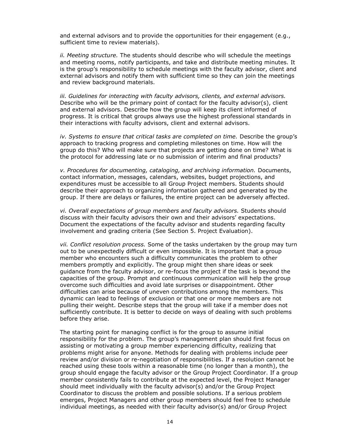and external advisors and to provide the opportunities for their engagement (e.g., sufficient time to review materials).

*ii. Meeting structure.* The students should describe who will schedule the meetings and meeting rooms, notify participants, and take and distribute meeting minutes. It is the group's responsibility to schedule meetings with the faculty advisor, client and external advisors and notify them with sufficient time so they can join the meetings and review background materials.

*iii. Guidelines for interacting with faculty advisors, clients, and external advisors.* Describe who will be the primary point of contact for the faculty advisor(s), client and external advisors. Describe how the group will keep its client informed of progress. It is critical that groups always use the highest professional standards in their interactions with faculty advisors, client and external advisors.

*iv. Systems to ensure that critical tasks are completed on time.* Describe the group's approach to tracking progress and completing milestones on time. How will the group do this? Who will make sure that projects are getting done on time? What is the protocol for addressing late or no submission of interim and final products?

*v. Procedures for documenting, cataloging, and archiving information.* Documents, contact information, messages, calendars, websites, budget projections, and expenditures must be accessible to all Group Project members. Students should describe their approach to organizing information gathered and generated by the group. If there are delays or failures, the entire project can be adversely affected.

*vi. Overall expectations of group members and faculty advisors.* Students should discuss with their faculty advisors their own and their advisors' expectations. Document the expectations of the faculty advisor and students regarding faculty involvement and grading criteria (See Section 5. Project Evaluation).

*vii. Conflict resolution process.* Some of the tasks undertaken by the group may turn out to be unexpectedly difficult or even impossible. It is important that a group member who encounters such a difficulty communicates the problem to other members promptly and explicitly. The group might then share ideas or seek guidance from the faculty advisor, or re-focus the project if the task is beyond the capacities of the group. Prompt and continuous communication will help the group overcome such difficulties and avoid late surprises or disappointment. Other difficulties can arise because of uneven contributions among the members. This dynamic can lead to feelings of exclusion or that one or more members are not pulling their weight. Describe steps that the group will take if a member does not sufficiently contribute. It is better to decide on ways of dealing with such problems before they arise.

The starting point for managing conflict is for the group to assume initial responsibility for the problem. The group's management plan should first focus on assisting or motivating a group member experiencing difficulty, realizing that problems might arise for anyone. Methods for dealing with problems include peer review and/or division or re-negotiation of responsibilities. If a resolution cannot be reached using these tools within a reasonable time (no longer than a month), the group should engage the faculty advisor or the Group Project Coordinator. If a group member consistently fails to contribute at the expected level, the Project Manager should meet individually with the faculty advisor(s) and/or the Group Project Coordinator to discuss the problem and possible solutions. If a serious problem emerges, Project Managers and other group members should feel free to schedule individual meetings, as needed with their faculty advisor(s) and/or Group Project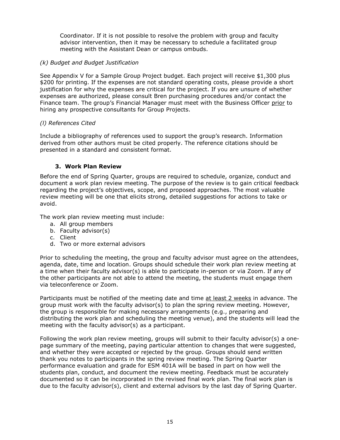Coordinator. If it is not possible to resolve the problem with group and faculty advisor intervention, then it may be necessary to schedule a facilitated group meeting with the Assistant Dean or campus ombuds.

# *(k) Budget and Budget Justification*

See Appendix V for a Sample Group Project budget. Each project will receive \$1,300 plus \$200 for printing. If the expenses are not standard operating costs, please provide a short justification for why the expenses are critical for the project. If you are unsure of whether expenses are authorized, please consult Bren purchasing procedures and/or contact the Finance team. The group's Financial Manager must meet with the Business Officer prior to hiring any prospective consultants for Group Projects.

### *(l) References Cited*

Include a bibliography of references used to support the group's research. Information derived from other authors must be cited properly. The reference citations should be presented in a standard and consistent format.

# **3. Work Plan Review**

Before the end of Spring Quarter, groups are required to schedule, organize, conduct and document a work plan review meeting. The purpose of the review is to gain critical feedback regarding the project's objectives, scope, and proposed approaches. The most valuable review meeting will be one that elicits strong, detailed suggestions for actions to take or avoid.

The work plan review meeting must include:

- a. All group members
- b. Faculty advisor(s)
- c. Client
- d. Two or more external advisors

Prior to scheduling the meeting, the group and faculty advisor must agree on the attendees, agenda, date, time and location. Groups should schedule their work plan review meeting at a time when their faculty advisor(s) is able to participate in-person or via Zoom. If any of the other participants are not able to attend the meeting, the students must engage them via teleconference or Zoom.

Participants must be notified of the meeting date and time at least 2 weeks in advance. The group must work with the faculty advisor(s) to plan the spring review meeting. However, the group is responsible for making necessary arrangements (e.g., preparing and distributing the work plan and scheduling the meeting venue), and the students will lead the meeting with the faculty advisor(s) as a participant.

Following the work plan review meeting, groups will submit to their faculty advisor(s) a onepage summary of the meeting, paying particular attention to changes that were suggested, and whether they were accepted or rejected by the group. Groups should send written thank you notes to participants in the spring review meeting. The Spring Quarter performance evaluation and grade for ESM 401A will be based in part on how well the students plan, conduct, and document the review meeting. Feedback must be accurately documented so it can be incorporated in the revised final work plan. The final work plan is due to the faculty advisor(s), client and external advisors by the last day of Spring Quarter.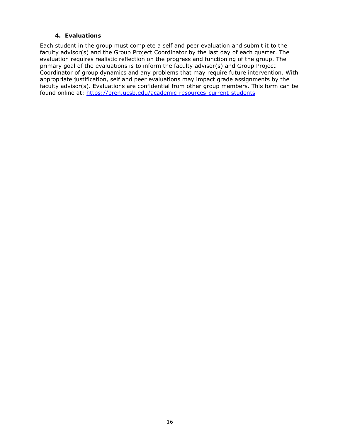# **4. Evaluations**

Each student in the group must complete a self and peer evaluation and submit it to the faculty advisor(s) and the Group Project Coordinator by the last day of each quarter. The evaluation requires realistic reflection on the progress and functioning of the group. The primary goal of the evaluations is to inform the faculty advisor(s) and Group Project Coordinator of group dynamics and any problems that may require future intervention. With appropriate justification, self and peer evaluations may impact grade assignments by the faculty advisor(s). Evaluations are confidential from other group members. This form can be found online at:<https://bren.ucsb.edu/academic-resources-current-students>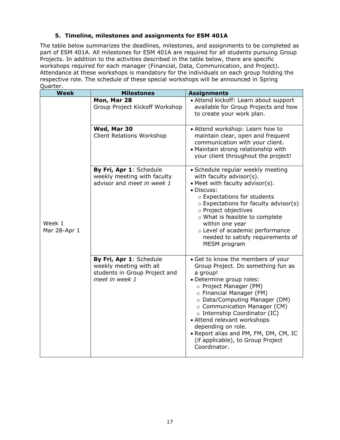# **5. Timeline, milestones and assignments for ESM 401A**

The table below summarizes the deadlines, milestones, and assignments to be completed as part of ESM 401A. All milestones for ESM 401A are required for all students pursuing Group Projects. In addition to the activities described in the table below, there are specific workshops required for each manager (Financial, Data, Communication, and Project). Attendance at these workshops is mandatory for the individuals on each group holding the respective role. The schedule of these special workshops will be announced in Spring Quarter.

| zuarter.<br><b>Week</b> | <b>Milestones</b>                                                                                     | <b>Assignments</b>                                                                                                                                                                                                                                                                                                                                                                                                         |
|-------------------------|-------------------------------------------------------------------------------------------------------|----------------------------------------------------------------------------------------------------------------------------------------------------------------------------------------------------------------------------------------------------------------------------------------------------------------------------------------------------------------------------------------------------------------------------|
|                         | Mon, Mar 28<br>Group Project Kickoff Workshop                                                         | • Attend kickoff: Learn about support<br>available for Group Projects and how<br>to create your work plan.                                                                                                                                                                                                                                                                                                                 |
| Week 1<br>Mar 28-Apr 1  | Wed, Mar 30<br><b>Client Relations Workshop</b>                                                       | • Attend workshop: Learn how to<br>maintain clear, open and frequent<br>communication with your client.<br>• Maintain strong relationship with<br>your client throughout the project!                                                                                                                                                                                                                                      |
|                         | By Fri, Apr 1: Schedule<br>weekly meeting with faculty<br>advisor and meet in week 1                  | • Schedule regular weekly meeting<br>with faculty advisor(s).<br>• Meet with faculty advisor(s).<br>· Discuss:<br>o Expectations for students<br>$\circ$ Expectations for faculty advisor(s)<br>o Project objectives<br>o What is feasible to complete<br>within one year<br>o Level of academic performance<br>needed to satisfy requirements of<br>MESM program                                                          |
|                         | By Fri, Apr 1: Schedule<br>weekly meeting with all<br>students in Group Project and<br>meet in week 1 | • Get to know the members of your<br>Group Project. Do something fun as<br>a group!<br>· Determine group roles:<br>o Project Manager (PM)<br>o Financial Manager (FM)<br>o Data/Computing Manager (DM)<br>○ Communication Manager (CM)<br>o Internship Coordinator (IC)<br>• Attend relevant workshops<br>depending on role.<br>• Report alias and PM, FM, DM, CM, IC<br>(if applicable), to Group Project<br>Coordinator. |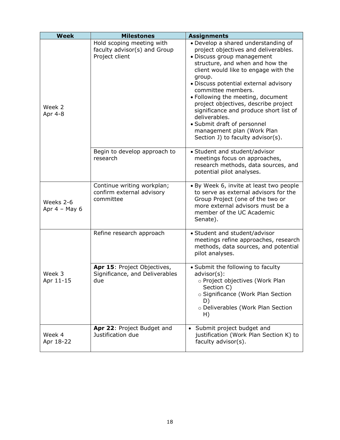| <b>Week</b>                  | <b>Milestones</b>                                                           | <b>Assignments</b>                                                                                                                                                                                                                                                                                                                                                                                                                                                                                      |
|------------------------------|-----------------------------------------------------------------------------|---------------------------------------------------------------------------------------------------------------------------------------------------------------------------------------------------------------------------------------------------------------------------------------------------------------------------------------------------------------------------------------------------------------------------------------------------------------------------------------------------------|
| Week 2<br>Apr 4-8            | Hold scoping meeting with<br>faculty advisor(s) and Group<br>Project client | · Develop a shared understanding of<br>project objectives and deliverables.<br>· Discuss group management<br>structure, and when and how the<br>client would like to engage with the<br>group.<br>· Discuss potential external advisory<br>committee members.<br>• Following the meeting, document<br>project objectives, describe project<br>significance and produce short list of<br>deliverables.<br>· Submit draft of personnel<br>management plan (Work Plan<br>Section J) to faculty advisor(s). |
|                              | Begin to develop approach to<br>research                                    | • Student and student/advisor<br>meetings focus on approaches,<br>research methods, data sources, and<br>potential pilot analyses.                                                                                                                                                                                                                                                                                                                                                                      |
| Weeks 2-6<br>Apr $4$ – May 6 | Continue writing workplan;<br>confirm external advisory<br>committee        | · By Week 6, invite at least two people<br>to serve as external advisors for the<br>Group Project (one of the two or<br>more external advisors must be a<br>member of the UC Academic<br>Senate).                                                                                                                                                                                                                                                                                                       |
|                              | Refine research approach                                                    | • Student and student/advisor<br>meetings refine approaches, research<br>methods, data sources, and potential<br>pilot analyses.                                                                                                                                                                                                                                                                                                                                                                        |
| Week 3<br>Apr 11-15          | Apr 15: Project Objectives,<br>Significance, and Deliverables<br>aue        | • Submit the following to faculty<br>advisor(s):<br>o Project objectives (Work Plan<br>Section C)<br>o Significance (Work Plan Section<br>D)<br>o Deliverables (Work Plan Section<br>H)                                                                                                                                                                                                                                                                                                                 |
| Week 4<br>Apr 18-22          | Apr 22: Project Budget and<br>Justification due                             | • Submit project budget and<br>justification (Work Plan Section K) to<br>faculty advisor(s).                                                                                                                                                                                                                                                                                                                                                                                                            |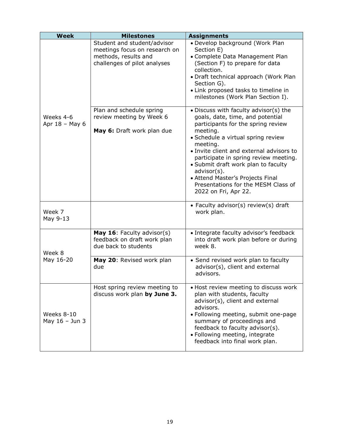| <b>Week</b>                  | <b>Milestones</b>                                                                                                    | <b>Assignments</b>                                                                                                                                                                                                                                                                                                                                                                                                          |
|------------------------------|----------------------------------------------------------------------------------------------------------------------|-----------------------------------------------------------------------------------------------------------------------------------------------------------------------------------------------------------------------------------------------------------------------------------------------------------------------------------------------------------------------------------------------------------------------------|
|                              | Student and student/advisor<br>meetings focus on research on<br>methods, results and<br>challenges of pilot analyses | · Develop background (Work Plan<br>Section E)<br>• Complete Data Management Plan<br>(Section F) to prepare for data<br>collection.<br>• Draft technical approach (Work Plan<br>Section G).<br>• Link proposed tasks to timeline in<br>milestones (Work Plan Section I).                                                                                                                                                     |
| Weeks 4-6<br>Apr 18 - May 6  | Plan and schedule spring<br>review meeting by Week 6<br>May 6: Draft work plan due                                   | · Discuss with faculty advisor(s) the<br>goals, date, time, and potential<br>participants for the spring review<br>meeting.<br>• Schedule a virtual spring review<br>meeting.<br>• Invite client and external advisors to<br>participate in spring review meeting.<br>• Submit draft work plan to faculty<br>advisor(s).<br>• Attend Master's Projects Final<br>Presentations for the MESM Class of<br>2022 on Fri, Apr 22. |
| Week 7<br>May 9-13           |                                                                                                                      | • Faculty advisor(s) review(s) draft<br>work plan.                                                                                                                                                                                                                                                                                                                                                                          |
| Week 8<br>May 16-20          | May 16: Faculty advisor(s)<br>feedback on draft work plan<br>due back to students                                    | • Integrate faculty advisor's feedback<br>into draft work plan before or during<br>week 8.                                                                                                                                                                                                                                                                                                                                  |
|                              | May 20: Revised work plan<br>due                                                                                     | • Send revised work plan to faculty<br>advisor(s), client and external<br>advisors.                                                                                                                                                                                                                                                                                                                                         |
| Weeks 8-10<br>May 16 - Jun 3 | Host spring review meeting to<br>discuss work plan by June 3.                                                        | • Host review meeting to discuss work<br>plan with students, faculty<br>advisor(s), client and external<br>advisors.<br>• Following meeting, submit one-page<br>summary of proceedings and<br>feedback to faculty advisor(s).<br>• Following meeting, integrate<br>feedback into final work plan.                                                                                                                           |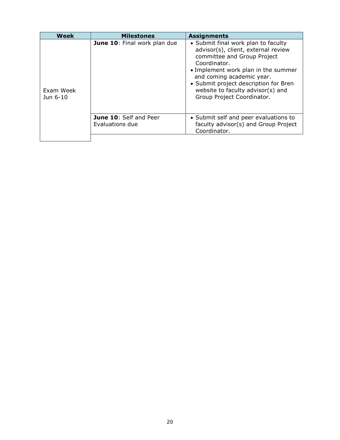| Week                  | <b>Milestones</b>                         | <b>Assignments</b>                                                                                                                                                                                                                                                                                        |
|-----------------------|-------------------------------------------|-----------------------------------------------------------------------------------------------------------------------------------------------------------------------------------------------------------------------------------------------------------------------------------------------------------|
| Exam Week<br>Jun 6-10 | June 10: Final work plan due              | • Submit final work plan to faculty<br>advisor(s), client, external review<br>committee and Group Project<br>Coordinator.<br>• Implement work plan in the summer<br>and coming academic year.<br>• Submit project description for Bren<br>website to faculty advisor(s) and<br>Group Project Coordinator. |
|                       | June 10: Self and Peer<br>Evaluations due | • Submit self and peer evaluations to<br>faculty advisor(s) and Group Project<br>Coordinator.                                                                                                                                                                                                             |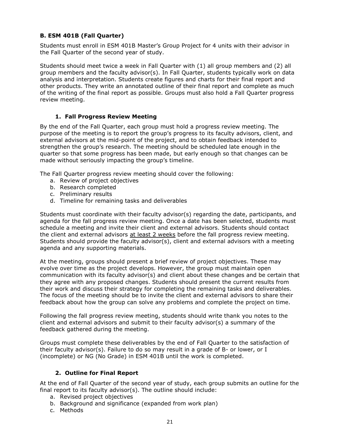# **B. ESM 401B (Fall Quarter)**

Students must enroll in ESM 401B Master's Group Project for 4 units with their advisor in the Fall Quarter of the second year of study.

Students should meet twice a week in Fall Quarter with (1) all group members and (2) all group members and the faculty advisor(s). In Fall Quarter, students typically work on data analysis and interpretation. Students create figures and charts for their final report and other products. They write an annotated outline of their final report and complete as much of the writing of the final report as possible. Groups must also hold a Fall Quarter progress review meeting.

# **1. Fall Progress Review Meeting**

By the end of the Fall Quarter, each group must hold a progress review meeting. The purpose of the meeting is to report the group's progress to its faculty advisors, client, and external advisors at the mid-point of the project, and to obtain feedback intended to strengthen the group's research. The meeting should be scheduled late enough in the quarter so that some progress has been made, but early enough so that changes can be made without seriously impacting the group's timeline.

The Fall Quarter progress review meeting should cover the following:

- a. Review of project objectives
- b. Research completed
- c. Preliminary results
- d. Timeline for remaining tasks and deliverables

Students must coordinate with their faculty advisor(s) regarding the date, participants, and agenda for the fall progress review meeting. Once a date has been selected, students must schedule a meeting and invite their client and external advisors. Students should contact the client and external advisors at least 2 weeks before the fall progress review meeting. Students should provide the faculty advisor(s), client and external advisors with a meeting agenda and any supporting materials.

At the meeting, groups should present a brief review of project objectives. These may evolve over time as the project develops. However, the group must maintain open communication with its faculty advisor(s) and client about these changes and be certain that they agree with any proposed changes. Students should present the current results from their work and discuss their strategy for completing the remaining tasks and deliverables. The focus of the meeting should be to invite the client and external advisors to share their feedback about how the group can solve any problems and complete the project on time.

Following the fall progress review meeting, students should write thank you notes to the client and external advisors and submit to their faculty advisor(s) a summary of the feedback gathered during the meeting.

Groups must complete these deliverables by the end of Fall Quarter to the satisfaction of their faculty advisor(s). Failure to do so may result in a grade of B- or lower, or I (incomplete) or NG (No Grade) in ESM 401B until the work is completed.

# **2. Outline for Final Report**

At the end of Fall Quarter of the second year of study, each group submits an outline for the final report to its faculty advisor(s). The outline should include:

- a. Revised project objectives
- b. Background and significance (expanded from work plan)
- c. Methods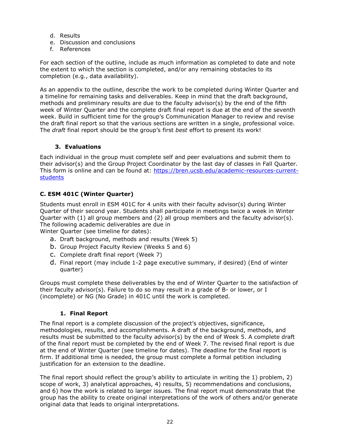- d. Results
- e. Discussion and conclusions
- f. References

For each section of the outline, include as much information as completed to date and note the extent to which the section is completed, and/or any remaining obstacles to its completion (e.g., data availability).

As an appendix to the outline, describe the work to be completed during Winter Quarter and a timeline for remaining tasks and deliverables. Keep in mind that the draft background, methods and preliminary results are due to the faculty advisor(s) by the end of the fifth week of Winter Quarter and the complete draft final report is due at the end of the seventh week. Build in sufficient time for the group's Communication Manager to review and revise the draft final report so that the various sections are written in a single, professional voice. The *draft* final report should be the group's first *best* effort to present its work!

### **3. Evaluations**

Each individual in the group must complete self and peer evaluations and submit them to their advisor(s) and the Group Project Coordinator by the last day of classes in Fall Quarter. This form is online and can be found at: [https://bren.ucsb.edu/academic-resources-current](https://bren.ucsb.edu/academic-resources-current-students)[students](https://bren.ucsb.edu/academic-resources-current-students)

# **C. ESM 401C (Winter Quarter)**

Students must enroll in ESM 401C for 4 units with their faculty advisor(s) during Winter Quarter of their second year. Students shall participate in meetings twice a week in Winter Quarter with  $(1)$  all group members and  $(2)$  all group members and the faculty advisor(s). The following academic deliverables are due in

Winter Quarter (see timeline for dates):

- a. Draft background, methods and results (Week 5)
- b. Group Project Faculty Review (Weeks 5 and 6)
- c. Complete draft final report (Week 7)
- d. Final report (may include 1-2 page executive summary, if desired) (End of winter quarter)

Groups must complete these deliverables by the end of Winter Quarter to the satisfaction of their faculty advisor(s). Failure to do so may result in a grade of B- or lower, or I (incomplete) or NG (No Grade) in 401C until the work is completed.

# **1. Final Report**

The final report is a complete discussion of the project's objectives, significance, methodologies, results, and accomplishments. A draft of the background, methods, and results must be submitted to the faculty advisor(s) by the end of Week 5. A complete draft of the final report must be completed by the end of Week 7. The revised final report is due at the end of Winter Quarter (see timeline for dates). The deadline for the final report is firm. If additional time is needed, the group must complete a formal petition including justification for an extension to the deadline.

The final report should reflect the group's ability to articulate in writing the 1) problem, 2) scope of work, 3) analytical approaches, 4) results, 5) recommendations and conclusions, and 6) how the work is related to larger issues. The final report must demonstrate that the group has the ability to create original interpretations of the work of others and/or generate original data that leads to original interpretations.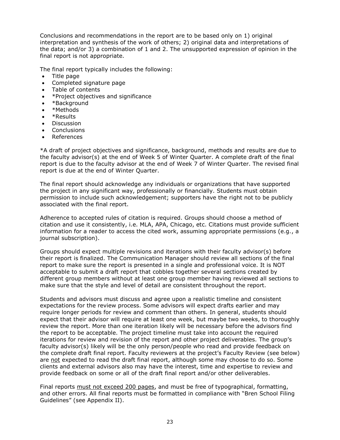Conclusions and recommendations in the report are to be based only on 1) original interpretation and synthesis of the work of others; 2) original data and interpretations of the data; and/or 3) a combination of 1 and 2. The unsupported expression of opinion in the final report is not appropriate.

The final report typically includes the following:

- Title page
- Completed signature page
- Table of contents
- \*Project objectives and significance
- \*Background
- \*Methods
- \*Results
- Discussion
- **Conclusions**
- References

\*A draft of project objectives and significance, background, methods and results are due to the faculty advisor(s) at the end of Week 5 of Winter Quarter. A complete draft of the final report is due to the faculty advisor at the end of Week 7 of Winter Quarter. The revised final report is due at the end of Winter Quarter.

The final report should acknowledge any individuals or organizations that have supported the project in any significant way, professionally or financially. Students must obtain permission to include such acknowledgement; supporters have the right not to be publicly associated with the final report.

Adherence to accepted rules of citation is required. Groups should choose a method of citation and use it consistently, i.e. MLA, APA, Chicago, etc. Citations must provide sufficient information for a reader to access the cited work, assuming appropriate permissions (e.g., a journal subscription).

Groups should expect multiple revisions and iterations with their faculty advisor(s) before their report is finalized. The Communication Manager should review all sections of the final report to make sure the report is presented in a single and professional voice. It is NOT acceptable to submit a draft report that cobbles together several sections created by different group members without at least one group member having reviewed all sections to make sure that the style and level of detail are consistent throughout the report.

Students and advisors must discuss and agree upon a realistic timeline and consistent expectations for the review process. Some advisors will expect drafts earlier and may require longer periods for review and comment than others. In general, students should expect that their advisor will require at least one week, but maybe two weeks, to thoroughly review the report. More than one iteration likely will be necessary before the advisors find the report to be acceptable. The project timeline must take into account the required iterations for review and revision of the report and other project deliverables. The group's faculty advisor(s) likely will be the only person/people who read and provide feedback on the complete draft final report. Faculty reviewers at the project's Faculty Review (see below) are not expected to read the draft final report, although some may choose to do so. Some clients and external advisors also may have the interest, time and expertise to review and provide feedback on some or all of the draft final report and/or other deliverables.

Final reports must not exceed 200 pages, and must be free of typographical, formatting, and other errors. All final reports must be formatted in compliance with "Bren School Filing Guidelines" (see Appendix II).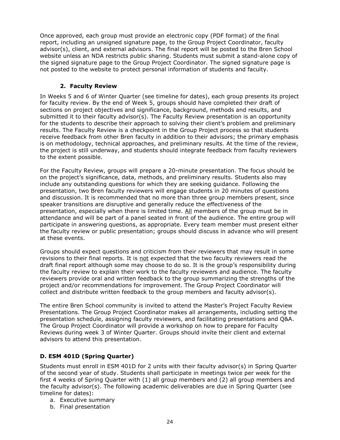Once approved, each group must provide an electronic copy (PDF format) of the final report, including an unsigned signature page, to the Group Project Coordinator, faculty advisor(s), client, and external advisors. The final report will be posted to the Bren School website unless an NDA restricts public sharing. Students must submit a stand-alone copy of the signed signature page to the Group Project Coordinator. The signed signature page is not posted to the website to protect personal information of students and faculty.

### **2. Faculty Review**

In Weeks 5 and 6 of Winter Quarter (see timeline for dates), each group presents its project for faculty review. By the end of Week 5, groups should have completed their draft of sections on project objectives and significance, background, methods and results, and submitted it to their faculty advisor(s). The Faculty Review presentation is an opportunity for the students to describe their approach to solving their client's problem and preliminary results. The Faculty Review is a checkpoint in the Group Project process so that students receive feedback from other Bren faculty in addition to their advisors; the primary emphasis is on methodology, technical approaches, and preliminary results. At the time of the review, the project is still underway, and students should integrate feedback from faculty reviewers to the extent possible.

For the Faculty Review, groups will prepare a 20-minute presentation. The focus should be on the project's significance, data, methods, and preliminary results. Students also may include any outstanding questions for which they are seeking guidance. Following the presentation, two Bren faculty reviewers will engage students in 20 minutes of questions and discussion. It is recommended that no more than three group members present, since speaker transitions are disruptive and generally reduce the effectiveness of the presentation, especially when there is limited time. All members of the group must be in attendance and will be part of a panel seated in front of the audience. The entire group will participate in answering questions, as appropriate. Every team member must present either the faculty review or public presentation; groups should discuss in advance who will present at these events.

Groups should expect questions and criticism from their reviewers that may result in some revisions to their final reports. It is not expected that the two faculty reviewers read the draft final report although some may choose to do so. It is the group's responsibility during the faculty review to explain their work to the faculty reviewers and audience. The faculty reviewers provide oral and written feedback to the group summarizing the strengths of the project and/or recommendations for improvement. The Group Project Coordinator will collect and distribute written feedback to the group members and faculty advisor(s).

The entire Bren School community is invited to attend the Master's Project Faculty Review Presentations. The Group Project Coordinator makes all arrangements, including setting the presentation schedule, assigning faculty reviewers, and facilitating presentations and Q&A. The Group Project Coordinator will provide a workshop on how to prepare for Faculty Reviews during week 3 of Winter Quarter. Groups should invite their client and external advisors to attend this presentation.

# **D. ESM 401D (Spring Quarter)**

Students must enroll in ESM 401D for 2 units with their faculty advisor(s) in Spring Quarter of the second year of study. Students shall participate in meetings twice per week for the first 4 weeks of Spring Quarter with (1) all group members and (2) all group members and the faculty advisor(s). The following academic deliverables are due in Spring Quarter (see timeline for dates):

- a. Executive summary
- b. Final presentation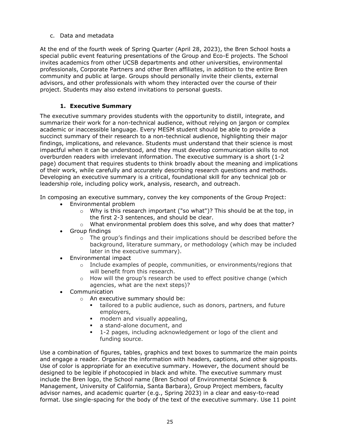c. Data and metadata

At the end of the fourth week of Spring Quarter (April 28, 2023), the Bren School hosts a special public event featuring presentations of the Group and Eco-E projects. The School invites academics from other UCSB departments and other universities, environmental professionals, Corporate Partners and other Bren affiliates, in addition to the entire Bren community and public at large. Groups should personally invite their clients, external advisors, and other professionals with whom they interacted over the course of their project. Students may also extend invitations to personal guests.

# **1. Executive Summary**

The executive summary provides students with the opportunity to distill, integrate, and summarize their work for a non-technical audience, without relying on jargon or complex academic or inaccessible language. Every MESM student should be able to provide a succinct summary of their research to a non-technical audience, highlighting their major findings, implications, and relevance. Students must understand that their science is most impactful when it can be understood, and they must develop communication skills to not overburden readers with irrelevant information. The executive summary is a short (1-2 page) document that requires students to think broadly about the meaning and implications of their work, while carefully and accurately describing research questions and methods. Developing an executive summary is a critical, foundational skill for any technical job or leadership role, including policy work, analysis, research, and outreach.

In composing an executive summary, convey the key components of the Group Project:

- Environmental problem
	- $\circ$  Why is this research important ("so what")? This should be at the top, in the first 2-3 sentences, and should be clear.
	- $\circ$  What environmental problem does this solve, and why does that matter?
- Group findings
	- $\circ$  The group's findings and their implications should be described before the background, literature summary, or methodology (which may be included later in the executive summary).
- Environmental impact
	- $\circ$  Include examples of people, communities, or environments/regions that will benefit from this research.
	- $\circ$  How will the group's research be used to effect positive change (which agencies, what are the next steps)?
- Communication
	- o An executive summary should be:
		- tailored to a public audience, such as donors, partners, and future employers,
		- **•** modern and visually appealing,
		- a stand-alone document, and
		- 1-2 pages, including acknowledgement or logo of the client and funding source.

Use a combination of figures, tables, graphics and text boxes to summarize the main points and engage a reader. Organize the information with headers, captions, and other signposts. Use of color is appropriate for an executive summary. However, the document should be designed to be legible if photocopied in black and white. The executive summary must include the Bren logo, the School name (Bren School of Environmental Science & Management, University of California, Santa Barbara), Group Project members, faculty advisor names, and academic quarter (e.g., Spring 2023) in a clear and easy-to-read format. Use single-spacing for the body of the text of the executive summary. Use 11 point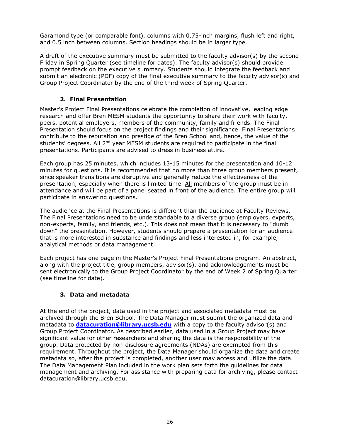Garamond type (or comparable font), columns with 0.75-inch margins, flush left and right, and 0.5 inch between columns. Section headings should be in larger type.

A draft of the executive summary must be submitted to the faculty advisor(s) by the second Friday in Spring Quarter (see timeline for dates). The faculty advisor(s) should provide prompt feedback on the executive summary. Students should integrate the feedback and submit an electronic (PDF) copy of the final executive summary to the faculty advisor(s) and Group Project Coordinator by the end of the third week of Spring Quarter.

# **2. Final Presentation**

Master's Project Final Presentations celebrate the completion of innovative, leading edge research and offer Bren MESM students the opportunity to share their work with faculty, peers, potential employers, members of the community, family and friends. The Final Presentation should focus on the project findings and their significance. Final Presentations contribute to the reputation and prestige of the Bren School and, hence, the value of the students' degrees. All  $2^{nd}$  year MESM students are required to participate in the final presentations. Participants are advised to dress in business attire.

Each group has 25 minutes, which includes 13-15 minutes for the presentation and 10-12 minutes for questions. It is recommended that no more than three group members present, since speaker transitions are disruptive and generally reduce the effectiveness of the presentation, especially when there is limited time. All members of the group must be in attendance and will be part of a panel seated in front of the audience. The entire group will participate in answering questions.

The audience at the Final Presentations is different than the audience at Faculty Reviews. The Final Presentations need to be understandable to a diverse group (employers, experts, non-experts, family, and friends, etc.). This does not mean that it is necessary to "dumb down" the presentation. However, students should prepare a presentation for an audience that is more interested in substance and findings and less interested in, for example, analytical methods or data management.

Each project has one page in the Master's Project Final Presentations program. An abstract, along with the project title, group members, advisor(s), and acknowledgements must be sent electronically to the Group Project Coordinator by the end of Week 2 of Spring Quarter (see timeline for date).

# **3. Data and metadata**

At the end of the project, data used in the project and associated metadata must be archived through the Bren School. The Data Manager must submit the organized data and metadata to **[datacuration@library.ucsb.edu](mailto:datacuration@library.ucsb.edu)** with a copy to the faculty advisor(s) and Group Project Coordinator**.** As described earlier, data used in a Group Project may have significant value for other researchers and sharing the data is the responsibility of the group. Data protected by non-disclosure agreements (NDAs) are exempted from this requirement. Throughout the project, the Data Manager should organize the data and create metadata so, after the project is completed, another user may access and utilize the data. The Data Management Plan included in the work plan sets forth the guidelines for data management and archiving. For assistance with preparing data for archiving, please contact datacuration@library.ucsb.edu.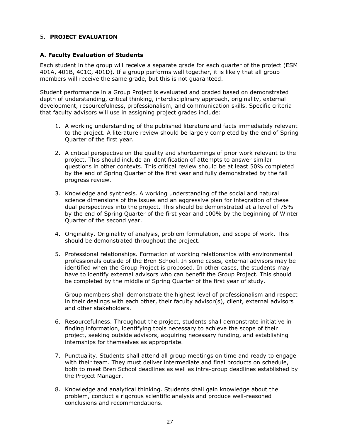#### 5. **PROJECT EVALUATION**

#### **A. Faculty Evaluation of Students**

Each student in the group will receive a separate grade for each quarter of the project (ESM 401A, 401B, 401C, 401D). If a group performs well together, it is likely that all group members will receive the same grade, but this is not guaranteed.

Student performance in a Group Project is evaluated and graded based on demonstrated depth of understanding, critical thinking, interdisciplinary approach, originality, external development, resourcefulness, professionalism, and communication skills. Specific criteria that faculty advisors will use in assigning project grades include:

- 1. A working understanding of the published literature and facts immediately relevant to the project. A literature review should be largely completed by the end of Spring Quarter of the first year.
- 2. A critical perspective on the quality and shortcomings of prior work relevant to the project. This should include an identification of attempts to answer similar questions in other contexts. This critical review should be at least 50% completed by the end of Spring Quarter of the first year and fully demonstrated by the fall progress review.
- 3. Knowledge and synthesis. A working understanding of the social and natural science dimensions of the issues and an aggressive plan for integration of these dual perspectives into the project. This should be demonstrated at a level of 75% by the end of Spring Quarter of the first year and 100% by the beginning of Winter Quarter of the second year.
- 4. Originality. Originality of analysis, problem formulation, and scope of work. This should be demonstrated throughout the project.
- 5. Professional relationships. Formation of working relationships with environmental professionals outside of the Bren School. In some cases, external advisors may be identified when the Group Project is proposed. In other cases, the students may have to identify external advisors who can benefit the Group Project. This should be completed by the middle of Spring Quarter of the first year of study.

Group members shall demonstrate the highest level of professionalism and respect in their dealings with each other, their faculty advisor(s), client, external advisors and other stakeholders.

- 6. Resourcefulness. Throughout the project, students shall demonstrate initiative in finding information, identifying tools necessary to achieve the scope of their project, seeking outside advisors, acquiring necessary funding, and establishing internships for themselves as appropriate.
- 7. Punctuality. Students shall attend all group meetings on time and ready to engage with their team. They must deliver intermediate and final products on schedule, both to meet Bren School deadlines as well as intra-group deadlines established by the Project Manager.
- 8. Knowledge and analytical thinking. Students shall gain knowledge about the problem, conduct a rigorous scientific analysis and produce well-reasoned conclusions and recommendations.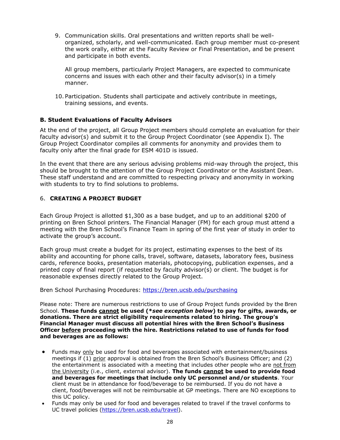9. Communication skills. Oral presentations and written reports shall be wellorganized, scholarly, and well-communicated. Each group member must co-present the work orally, either at the Faculty Review or Final Presentation, and be present and participate in both events.

All group members, particularly Project Managers, are expected to communicate concerns and issues with each other and their faculty advisor(s) in a timely manner.

10. Participation. Students shall participate and actively contribute in meetings, training sessions, and events.

### **B. Student Evaluations of Faculty Advisors**

At the end of the project, all Group Project members should complete an evaluation for their faculty advisor(s) and submit it to the Group Project Coordinator (see Appendix I). The Group Project Coordinator compiles all comments for anonymity and provides them to faculty only after the final grade for ESM 401D is issued.

In the event that there are any serious advising problems mid-way through the project, this should be brought to the attention of the Group Project Coordinator or the Assistant Dean. These staff understand and are committed to respecting privacy and anonymity in working with students to try to find solutions to problems.

### 6. **CREATING A PROJECT BUDGET**

Each Group Project is allotted \$1,300 as a base budget, and up to an additional \$200 of printing on Bren School printers. The Financial Manager (FM) for each group must attend a meeting with the Bren School's Finance Team in spring of the first year of study in order to activate the group's account.

Each group must create a budget for its project, estimating expenses to the best of its ability and accounting for phone calls, travel, software, datasets, laboratory fees, business cards, reference books, presentation materials, photocopying, publication expenses, and a printed copy of final report (if requested by faculty advisor(s) or client. The budget is for reasonable expenses directly related to the Group Project.

Bren School Purchasing Procedures:<https://bren.ucsb.edu/purchasing>

Please note: There are numerous restrictions to use of Group Project funds provided by the Bren School. **These funds cannot be used (\****see exception below***) to pay for gifts, awards, or donations. There are strict eligibility requirements related to hiring. The group's Financial Manager must discuss all potential hires with the Bren School's Business Officer before proceeding with the hire. Restrictions related to use of funds for food and beverages are as follows:**

- Funds may only be used for food and beverages associated with entertainment/business meetings if (1) prior approval is obtained from the Bren School's Business Officer; and (2) the entertainment is associated with a meeting that includes other people who are not from the University (i.e., client, external advisor). **The funds cannot be used to provide food and beverages for meetings that include only UC personnel and/or students**. Your client must be in attendance for food/beverage to be reimbursed. If you do not have a client, food/beverages will not be reimbursable at GP meetings. There are NO exceptions to this UC policy.
- Funds may only be used for food and beverages related to travel if the travel conforms to UC travel policies [\(https://bren.ucsb.edu/travel\)](https://bren.ucsb.edu/travel).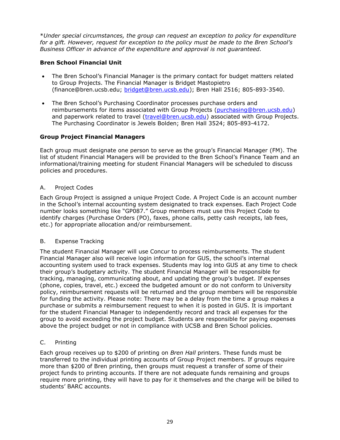\**Under special circumstances, the group can request an exception to policy for expenditure for a gift. However, request for exception to the policy must be made to the Bren School's Business Officer in advance of the expenditure and approval is not guaranteed.*

# **Bren School Financial Unit**

- The Bren School's Financial Manager is the primary contact for budget matters related to Group Projects. The Financial Manager is Bridget Mastopietro [\(finance@bren.ucsb.edu;](mailto:finance@bren.ucsb.edu) [bridget@bren.ucsb.edu\)](mailto:amaffett@bren.ucsb.edu); Bren Hall 2516; 805-893-3540.
- The Bren School's Purchasing Coordinator processes purchase orders and reimbursements for items associated with Group Projects [\(purchasing@bren.ucsb.edu\)](mailto:purchasing@bren.ucsb.edu) and paperwork related to travel [\(travel@bren.ucsb.edu\)](mailto:travel@bren.ucsb.edu) associated with Group Projects. The Purchasing Coordinator is Jewels Bolden; Bren Hall 3524; 805-893-4172.

# **Group Project Financial Managers**

Each group must designate one person to serve as the group's Financial Manager (FM). The list of student Financial Managers will be provided to the Bren School's Finance Team and an informational/training meeting for student Financial Managers will be scheduled to discuss policies and procedures.

# A. Project Codes

Each Group Project is assigned a unique Project Code. A Project Code is an account number in the School's internal accounting system designated to track expenses. Each Project Code number looks something like "GP087." Group members must use this Project Code to identify charges (Purchase Orders (PO), faxes, phone calls, petty cash receipts, lab fees, etc.) for appropriate allocation and/or reimbursement.

# B. Expense Tracking

The student Financial Manager will use Concur to process reimbursements. The student Financial Manager also will receive login information for GUS, the school's internal accounting system used to track expenses. Students may log into GUS at any time to check their group's budgetary activity. The student Financial Manager will be responsible for tracking, managing, communicating about, and updating the group's budget. If expenses (phone, copies, travel, etc.) exceed the budgeted amount or do not conform to University policy, reimbursement requests will be returned and the group members will be responsible for funding the activity. Please note: There may be a delay from the time a group makes a purchase or submits a reimbursement request to when it is posted in GUS. It is important for the student Financial Manager to independently record and track all expenses for the group to avoid exceeding the project budget. Students are responsible for paying expenses above the project budget or not in compliance with UCSB and Bren School policies.

# C. Printing

Each group receives up to \$200 of printing on *Bren Hall* printers. These funds must be transferred to the individual printing accounts of Group Project members. If groups require more than \$200 of Bren printing, then groups must request a transfer of some of their project funds to printing accounts. If there are not adequate funds remaining and groups require more printing, they will have to pay for it themselves and the charge will be billed to students' BARC accounts.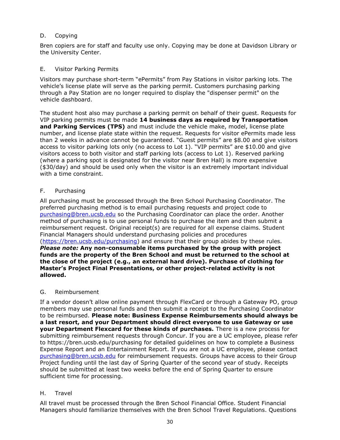# D. Copying

Bren copiers are for staff and faculty use only. Copying may be done at Davidson Library or the University Center.

#### E. Visitor Parking Permits

Visitors may purchase short-term "ePermits" from Pay Stations in visitor parking lots. The vehicle's license plate will serve as the parking permit. Customers purchasing parking through a Pay Station are no longer required to display the "dispenser permit" on the vehicle dashboard.

The student host also may purchase a parking permit on behalf of their guest. Requests for VIP parking permits must be made **14 business days as required by Transportation and Parking Services (TPS)** and must include the vehicle make, model, license plate number, and license plate state within the request. Requests for visitor ePermits made less than 2 weeks in advance cannot be guaranteed. "Guest permits" are \$8.00 and give visitors access to visitor parking lots only (no access to Lot 1). "VIP permits" are \$10.00 and give visitors access to both visitor and staff parking lots (access to Lot 1). Reserved parking (where a parking spot is designated for the visitor near Bren Hall) is more expensive (\$30/day) and should be used only when the visitor is an extremely important individual with a time constraint.

### F. Purchasing

All purchasing must be processed through the Bren School Purchasing Coordinator. The preferred purchasing method is to email purchasing requests and project code to [purchasing@bren.ucsb.edu](mailto:purchasing@bren.ucsb.edu) so the Purchasing Coordinator can place the order. Another method of purchasing is to use personal funds to purchase the item and then submit a reimbursement request. Original receipt(s) are required for all expense claims. Student Financial Managers should understand purchasing policies and procedures [\(https://bren.ucsb.edu/purchasing\)](https://bren.ucsb.edu/purchasing) and ensure that their group abides by these rules. *Please note:* **Any non-consumable items purchased by the group with project funds are the property of the Bren School and must be returned to the school at the close of the project (e.g., an external hard drive). Purchase of clothing for Master's Project Final Presentations, or other project-related activity is not allowed.** 

#### G. Reimbursement

If a vendor doesn't allow online payment through FlexCard or through a Gateway PO, group members may use personal funds and then submit a receipt to the Purchasing Coordinator to be reimbursed. **Please note: Business Expense Reimbursements should always be a last resort, and your Department should direct everyone to use Gateway or use your Department Flexcard for these kinds of purchases.** There is a new process for submitting reimbursement requests through Concur. If you are a UC employee, please refer to https://bren.ucsb.edu/purchasing for detailed guidelines on how to complete a Business Expense Report and an Entertainment Report. If you are not a UC employee, please contact [purchasing@bren.ucsb.edu](mailto:purchasing@bren.ucsb.edu) for reimbursement requests. Groups have access to their Group Project funding until the last day of Spring Quarter of the second year of study. Receipts should be submitted at least two weeks before the end of Spring Quarter to ensure sufficient time for processing.

#### H. Travel

All travel must be processed through the Bren School Financial Office. Student Financial Managers should familiarize themselves with the Bren School Travel Regulations. Questions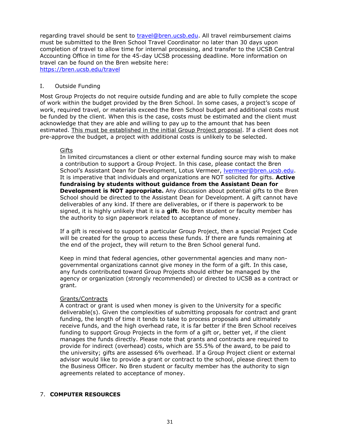regarding travel should be sent to [travel@bren.ucsb.edu.](mailto:travel@bren.ucsb.edu) All travel reimbursement claims must be submitted to the Bren School Travel Coordinator no later than 30 days upon completion of travel to allow time for internal processing, and transfer to the UCSB Central Accounting Office in time for the 45-day UCSB processing deadline. More information on travel can be found on the Bren website here: <https://bren.ucsb.edu/travel>

#### I. Outside Funding

Most Group Projects do not require outside funding and are able to fully complete the scope of work within the budget provided by the Bren School. In some cases, a project's scope of work, required travel, or materials exceed the Bren School budget and additional costs must be funded by the client. When this is the case, costs must be estimated and the client must acknowledge that they are able and willing to pay up to the amount that has been estimated. This must be established in the initial Group Project proposal. If a client does not pre-approve the budget, a project with additional costs is unlikely to be selected.

#### Gifts

In limited circumstances a client or other external funding source may wish to make a contribution to support a Group Project. In this case, please contact the Bren School's Assistant Dean for Development, Lotus Vermeer, **Ivermeer@bren.ucsb.edu.** It is imperative that individuals and organizations are NOT solicited for gifts. **Active fundraising by students without guidance from the Assistant Dean for Development is NOT appropriate.** Any discussion about potential gifts to the Bren School should be directed to the Assistant Dean for Development. A gift cannot have deliverables of any kind. If there are deliverables, or if there is paperwork to be signed, it is highly unlikely that it is a **gift**. No Bren student or faculty member has the authority to sign paperwork related to acceptance of money.

If a gift is received to support a particular Group Project, then a special Project Code will be created for the group to access these funds. If there are funds remaining at the end of the project, they will return to the Bren School general fund.

Keep in mind that federal agencies, other governmental agencies and many nongovernmental organizations cannot give money in the form of a gift. In this case, any funds contributed toward Group Projects should either be managed by the agency or organization (strongly recommended) or directed to UCSB as a contract or grant.

#### Grants/Contracts

A contract or grant is used when money is given to the University for a specific deliverable(s). Given the complexities of submitting proposals for contract and grant funding, the length of time it tends to take to process proposals and ultimately receive funds, and the high overhead rate, it is far better if the Bren School receives funding to support Group Projects in the form of a gift or, better yet, if the client manages the funds directly. Please note that grants and contracts are required to provide for indirect (overhead) costs, which are 55.5% of the award, to be paid to the university; gifts are assessed 6% overhead. If a Group Project client or external advisor would like to provide a grant or contract to the school, please direct them to the Business Officer. No Bren student or faculty member has the authority to sign agreements related to acceptance of money.

#### 7. **COMPUTER RESOURCES**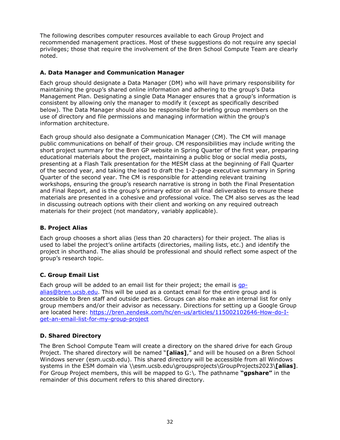The following describes computer resources available to each Group Project and recommended management practices. Most of these suggestions do not require any special privileges; those that require the involvement of the Bren School Compute Team are clearly noted.

# **A. Data Manager and Communication Manager**

Each group should designate a Data Manager (DM) who will have primary responsibility for maintaining the group's shared online information and adhering to the group's Data Management Plan. Designating a single Data Manager ensures that a group's information is consistent by allowing only the manager to modify it (except as specifically described below). The Data Manager should also be responsible for briefing group members on the use of directory and file permissions and managing information within the group's information architecture.

Each group should also designate a Communication Manager (CM). The CM will manage public communications on behalf of their group. CM responsibilities may include writing the short project summary for the Bren GP website in Spring Quarter of the first year, preparing educational materials about the project, maintaining a public blog or social media posts, presenting at a Flash Talk presentation for the MESM class at the beginning of Fall Quarter of the second year, and taking the lead to draft the 1-2-page executive summary in Spring Quarter of the second year. The CM is responsible for attending relevant training workshops, ensuring the group's research narrative is strong in both the Final Presentation and Final Report, and is the group's primary editor on all final deliverables to ensure these materials are presented in a cohesive and professional voice. The CM also serves as the lead in discussing outreach options with their client and working on any required outreach materials for their project (not mandatory, variably applicable).

# **B. Project Alias**

Each group chooses a short alias (less than 20 characters) for their project. The alias is used to label the project's online artifacts (directories, mailing lists, etc.) and identify the project in shorthand. The alias should be professional and should reflect some aspect of the group's research topic.

# **C. Group Email List**

Each group will be added to an email list for their project; the email is [gp](mailto:gp-alias@bren.ucsb.edu)[alias@bren.ucsb.edu.](mailto:gp-alias@bren.ucsb.edu) This will be used as a contact email for the entire group and is accessible to Bren staff and outside parties. Groups can also make an internal list for only group members and/or their advisor as necessary. Directions for setting up a Google Group are located here: [https://bren.zendesk.com/hc/en-us/articles/115002102646-How-do-I](https://bren.zendesk.com/hc/en-us/articles/115002102646-How-do-I-get-an-email-list-for-my-group-project)[get-an-email-list-for-my-group-project](https://bren.zendesk.com/hc/en-us/articles/115002102646-How-do-I-get-an-email-list-for-my-group-project)

# **D. Shared Directory**

The Bren School Compute Team will create a directory on the shared drive for each Group Project. The shared directory will be named "**[alias]**," and will be housed on a Bren School Windows server (esm.ucsb.edu). This shared directory will be accessible from all Windows systems in the ESM domain via \\esm.ucsb.edu\groupsprojects\GroupProjects2023\**[alias]**. For Group Project members, this will be mapped to G:\. The pathname **"gpshare"** in the remainder of this document refers to this shared directory.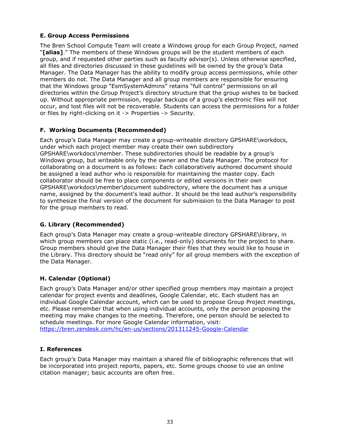# **E. Group Access Permissions**

The Bren School Compute Team will create a Windows group for each Group Project, named "**[alias]**." The members of these Windows groups will be the student members of each group, and if requested other parties such as faculty advisor(s). Unless otherwise specified, all files and directories discussed in these guidelines will be owned by the group's Data Manager. The Data Manager has the ability to modify group access permissions, while other members do not. The Data Manager and all group members are responsible for ensuring that the Windows group "EsmSystemAdmins" retains "full control" permissions on all directories within the Group Project's directory structure that the group wishes to be backed up. Without appropriate permission, regular backups of a group's electronic files will not occur, and lost files will not be recoverable. Students can access the permissions for a folder or files by right-clicking on it -> Properties -> Security.

# **F. Working Documents (Recommended)**

Each group's Data Manager may create a group-writeable directory GPSHARE\workdocs, under which each project member may create their own subdirectory GPSHARE\workdocs\member. These subdirectories should be readable by a group's Windows group, but writeable only by the owner and the Data Manager. The protocol for collaborating on a document is as follows: Each collaboratively authored document should be assigned a lead author who is responsible for maintaining the master copy. Each collaborator should be free to place components or edited versions in their own GPSHARE\workdocs\member\document subdirectory, where the document has a unique name, assigned by the document's lead author. It should be the lead author's responsibility to synthesize the final version of the document for submission to the Data Manager to post for the group members to read.

# **G. Library (Recommended)**

Each group's Data Manager may create a group-writeable directory GPSHARE\library, in which group members can place static (i.e., read-only) documents for the project to share. Group members should give the Data Manager their files that they would like to house in the Library. This directory should be "read only" for all group members with the exception of the Data Manager.

# **H. Calendar (Optional)**

Each group's Data Manager and/or other specified group members may maintain a project calendar for project events and deadlines, Google Calendar, etc. Each student has an individual Google Calendar account, which can be used to propose Group Project meetings, etc. Please remember that when using individual accounts, only the person proposing the meeting may make changes to the meeting. Therefore, one person should be selected to schedule meetings. For more Google Calendar information, visit: <https://bren.zendesk.com/hc/en-us/sections/201311245-Google-Calendar>

# **I. References**

Each group's Data Manager may maintain a shared file of bibliographic references that will be incorporated into project reports, papers, etc. Some groups choose to use an online citation manager; basic accounts are often free.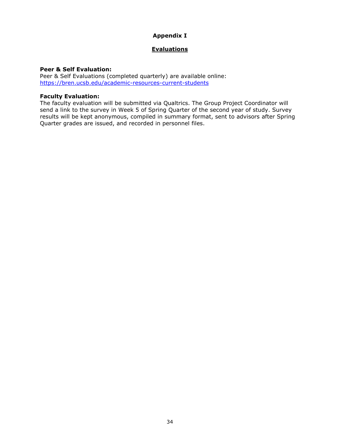# **Appendix I**

# **Evaluations**

### **Peer & Self Evaluation:**

Peer & Self Evaluations (completed quarterly) are available online: <https://bren.ucsb.edu/academic-resources-current-students>

#### **Faculty Evaluation:**

The faculty evaluation will be submitted via Qualtrics. The Group Project Coordinator will send a link to the survey in Week 5 of Spring Quarter of the second year of study. Survey results will be kept anonymous, compiled in summary format, sent to advisors after Spring Quarter grades are issued, and recorded in personnel files.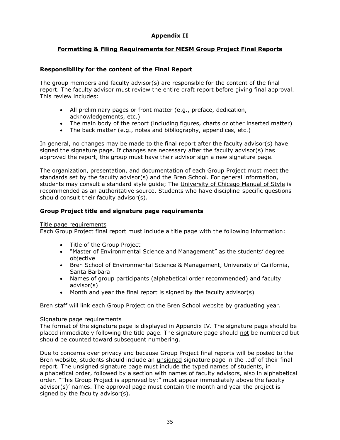# **Appendix II**

# **Formatting & Filing Requirements for MESM Group Project Final Reports**

### **Responsibility for the content of the Final Report**

The group members and faculty advisor(s) are responsible for the content of the final report. The faculty advisor must review the entire draft report before giving final approval. This review includes:

- All preliminary pages or front matter (e.g., preface, dedication, acknowledgements, etc.)
- The main body of the report (including figures, charts or other inserted matter)
- The back matter (e.g., notes and bibliography, appendices, etc.)

In general, no changes may be made to the final report after the faculty advisor(s) have signed the signature page. If changes are necessary after the faculty advisor(s) has approved the report, the group must have their advisor sign a new signature page.

The organization, presentation, and documentation of each Group Project must meet the standards set by the faculty advisor(s) and the Bren School. For general information, students may consult a standard style guide; The University of Chicago Manual of Style is recommended as an authoritative source. Students who have discipline-specific questions should consult their faculty advisor(s).

### **Group Project title and signature page requirements**

#### Title page requirements

Each Group Project final report must include a title page with the following information:

- Title of the Group Project
- "Master of Environmental Science and Management" as the students' degree objective
- Bren School of Environmental Science & Management, University of California, Santa Barbara
- Names of group participants (alphabetical order recommended) and faculty advisor(s)
- Month and year the final report is signed by the faculty advisor(s)

Bren staff will link each Group Project on the Bren School website by graduating year.

#### Signature page requirements

The format of the signature page is displayed in Appendix IV. The signature page should be placed immediately following the title page. The signature page should not be numbered but should be counted toward subsequent numbering.

Due to concerns over privacy and because Group Project final reports will be posted to the Bren website, students should include an *unsigned* signature page in the .pdf of their final report. The unsigned signature page must include the typed names of students, in alphabetical order, followed by a section with names of faculty advisors, also in alphabetical order. "This Group Project is approved by:" must appear immediately above the faculty advisor(s)' names. The approval page must contain the month and year the project is signed by the faculty advisor(s).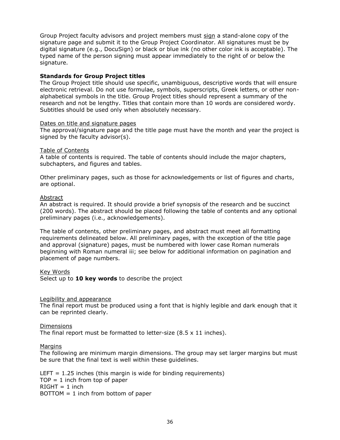Group Project faculty advisors and project members must sign a stand-alone copy of the signature page and submit it to the Group Project Coordinator. All signatures must be by digital signature (e.g., DocuSign) or black or blue ink (no other color ink is acceptable). The typed name of the person signing must appear immediately to the right of or below the signature.

#### **Standards for Group Project titles**

The Group Project title should use specific, unambiguous, descriptive words that will ensure electronic retrieval. Do not use formulae, symbols, superscripts, Greek letters, or other nonalphabetical symbols in the title. Group Project titles should represent a summary of the research and not be lengthy. Titles that contain more than 10 words are considered wordy. Subtitles should be used only when absolutely necessary.

#### Dates on title and signature pages

The approval/signature page and the title page must have the month and year the project is signed by the faculty advisor(s).

#### Table of Contents

A table of contents is required. The table of contents should include the major chapters, subchapters, and figures and tables.

Other preliminary pages, such as those for acknowledgements or list of figures and charts, are optional.

#### Abstract

An abstract is required. It should provide a brief synopsis of the research and be succinct (200 words). The abstract should be placed following the table of contents and any optional preliminary pages (i.e., acknowledgements).

The table of contents, other preliminary pages, and abstract must meet all formatting requirements delineated below. All preliminary pages, with the exception of the title page and approval (signature) pages, must be numbered with lower case Roman numerals beginning with Roman numeral iii; see below for additional information on pagination and placement of page numbers.

#### Key Words

Select up to **10 key words** to describe the project

#### Legibility and appearance

The final report must be produced using a font that is highly legible and dark enough that it can be reprinted clearly.

#### Dimensions

The final report must be formatted to letter-size (8.5 x 11 inches).

#### **Margins**

The following are minimum margin dimensions. The group may set larger margins but must be sure that the final text is well within these guidelines.

LEFT  $=$  1.25 inches (this margin is wide for binding requirements)  $TOP = 1$  inch from top of paper  $RIGHT = 1$  inch BOTTOM = 1 inch from bottom of paper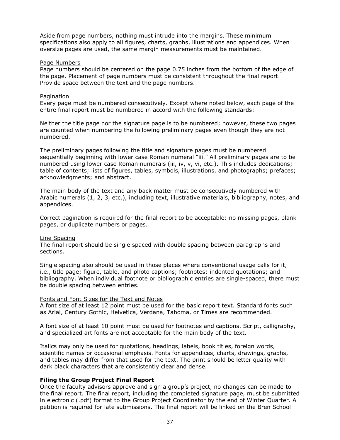Aside from page numbers, nothing must intrude into the margins. These minimum specifications also apply to all figures, charts, graphs, illustrations and appendices. When oversize pages are used, the same margin measurements must be maintained.

#### Page Numbers

Page numbers should be centered on the page 0.75 inches from the bottom of the edge of the page. Placement of page numbers must be consistent throughout the final report. Provide space between the text and the page numbers.

#### Pagination

Every page must be numbered consecutively. Except where noted below, each page of the entire final report must be numbered in accord with the following standards:

Neither the title page nor the signature page is to be numbered; however, these two pages are counted when numbering the following preliminary pages even though they are not numbered.

The preliminary pages following the title and signature pages must be numbered sequentially beginning with lower case Roman numeral "iii." All preliminary pages are to be numbered using lower case Roman numerals (iii, iv, v, vi, etc.). This includes dedications; table of contents; lists of figures, tables, symbols, illustrations, and photographs; prefaces; acknowledgments; and abstract.

The main body of the text and any back matter must be consecutively numbered with Arabic numerals (1, 2, 3, etc.), including text, illustrative materials, bibliography, notes, and appendices.

Correct pagination is required for the final report to be acceptable: no missing pages, blank pages, or duplicate numbers or pages.

#### Line Spacing

The final report should be single spaced with double spacing between paragraphs and sections.

Single spacing also should be used in those places where conventional usage calls for it, i.e., title page; figure, table, and photo captions; footnotes; indented quotations; and bibliography. When individual footnote or bibliographic entries are single-spaced, there must be double spacing between entries.

#### Fonts and Font Sizes for the Text and Notes

A font size of at least 12 point must be used for the basic report text. Standard fonts such as Arial, Century Gothic, Helvetica, Verdana, Tahoma, or Times are recommended.

A font size of at least 10 point must be used for footnotes and captions. Script, calligraphy, and specialized art fonts are not acceptable for the main body of the text.

Italics may only be used for quotations, headings, labels, book titles, foreign words, scientific names or occasional emphasis. Fonts for appendices, charts, drawings, graphs, and tables may differ from that used for the text. The print should be letter quality with dark black characters that are consistently clear and dense.

#### **Filing the Group Project Final Report**

Once the faculty advisors approve and sign a group's project, no changes can be made to the final report. The final report, including the completed signature page, must be submitted in electronic (.pdf) format to the Group Project Coordinator by the end of Winter Quarter. A petition is required for late submissions. The final report will be linked on the Bren School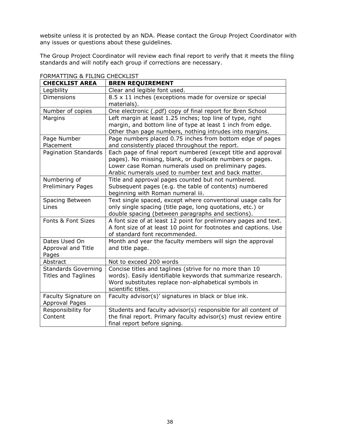website unless it is protected by an NDA. Please contact the Group Project Coordinator with any issues or questions about these guidelines.

The Group Project Coordinator will review each final report to verify that it meets the filing standards and will notify each group if corrections are necessary.

| <b>CHECKLIST AREA</b>       | <b>BREN REQUIREMENT</b>                                          |  |
|-----------------------------|------------------------------------------------------------------|--|
|                             |                                                                  |  |
| Legibility                  | Clear and legible font used.                                     |  |
| <b>Dimensions</b>           | 8.5 x 11 inches (exceptions made for oversize or special         |  |
|                             | materials).                                                      |  |
| Number of copies            | One electronic (.pdf) copy of final report for Bren School       |  |
| Margins                     | Left margin at least 1.25 inches; top line of type, right        |  |
|                             | margin, and bottom line of type at least 1 inch from edge.       |  |
|                             | Other than page numbers, nothing intrudes into margins.          |  |
| Page Number                 | Page numbers placed 0.75 inches from bottom edge of pages        |  |
| Placement                   | and consistently placed throughout the report.                   |  |
| <b>Pagination Standards</b> | Each page of final report numbered (except title and approval    |  |
|                             | pages). No missing, blank, or duplicate numbers or pages.        |  |
|                             | Lower case Roman numerals used on preliminary pages.             |  |
|                             | Arabic numerals used to number text and back matter.             |  |
| Numbering of                | Title and approval pages counted but not numbered.               |  |
| Preliminary Pages           | Subsequent pages (e.g. the table of contents) numbered           |  |
|                             | beginning with Roman numeral iii.                                |  |
| Spacing Between             | Text single spaced, except where conventional usage calls for    |  |
| Lines                       | only single spacing (title page, long quotations, etc.) or       |  |
|                             | double spacing (between paragraphs and sections).                |  |
| Fonts & Font Sizes          |                                                                  |  |
|                             | A font size of at least 12 point for preliminary pages and text. |  |
|                             | A font size of at least 10 point for footnotes and captions. Use |  |
|                             | of standard font recommended.                                    |  |
| Dates Used On               | Month and year the faculty members will sign the approval        |  |
| Approval and Title          | and title page.                                                  |  |
| Pages                       |                                                                  |  |
| Abstract                    | Not to exceed 200 words                                          |  |
| <b>Standards Governing</b>  | Concise titles and taglines (strive for no more than 10          |  |
| <b>Titles and Taglines</b>  | words). Easily identifiable keywords that summarize research.    |  |
|                             | Word substitutes replace non-alphabetical symbols in             |  |
|                             | scientific titles.                                               |  |
| Faculty Signature on        | Faculty advisor(s)' signatures in black or blue ink.             |  |
| <b>Approval Pages</b>       |                                                                  |  |
| Responsibility for          | Students and faculty advisor(s) responsible for all content of   |  |
| Content                     | the final report. Primary faculty advisor(s) must review entire  |  |
|                             | final report before signing.                                     |  |

FORMATTING & FILING CHECKLIST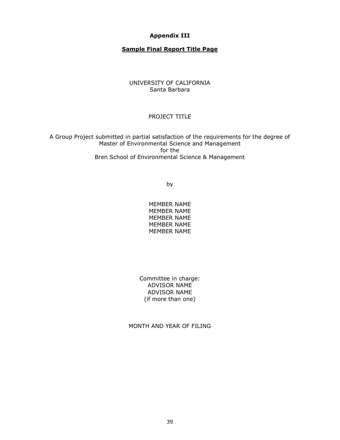#### **Appendix III**

# **Sample Final Report Title Page**

### UNIVERSITY OF CALIFORNIA Santa Barbara

### PROJECT TITLE

A Group Project submitted in partial satisfaction of the requirements for the degree of Master of Environmental Science and Management for the Bren School of Environmental Science & Management

by

MEMBER NAME MEMBER NAME MEMBER NAME MEMBER NAME MEMBER NAME

Committee in charge: ADVISOR NAME ADVISOR NAME (if more than one)

MONTH AND YEAR OF FILING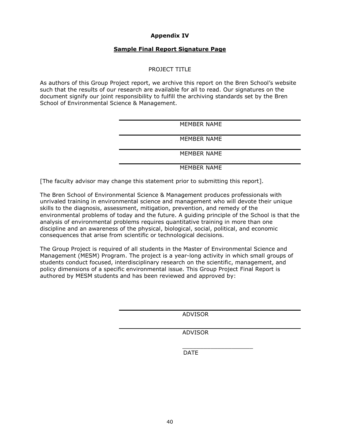# **Appendix IV**

### **Sample Final Report Signature Page**

### PROJECT TITLE

As authors of this Group Project report, we archive this report on the Bren School's website such that the results of our research are available for all to read. Our signatures on the document signify our joint responsibility to fulfill the archiving standards set by the Bren School of Environmental Science & Management.

| MEMBER NAME        |
|--------------------|
| <b>MEMBER NAME</b> |
| <b>MEMBER NAME</b> |

MEMBER NAME

[The faculty advisor may change this statement prior to submitting this report].

The Bren School of Environmental Science & Management produces professionals with unrivaled training in environmental science and management who will devote their unique skills to the diagnosis, assessment, mitigation, prevention, and remedy of the environmental problems of today and the future. A guiding principle of the School is that the analysis of environmental problems requires quantitative training in more than one discipline and an awareness of the physical, biological, social, political, and economic consequences that arise from scientific or technological decisions.

The Group Project is required of all students in the Master of Environmental Science and Management (MESM) Program. The project is a year-long activity in which small groups of students conduct focused, interdisciplinary research on the scientific, management, and policy dimensions of a specific environmental issue. This Group Project Final Report is authored by MESM students and has been reviewed and approved by:

ADVISOR

ADVISOR

\_\_\_\_\_\_\_\_\_\_\_\_\_\_\_\_\_\_\_\_ DATE